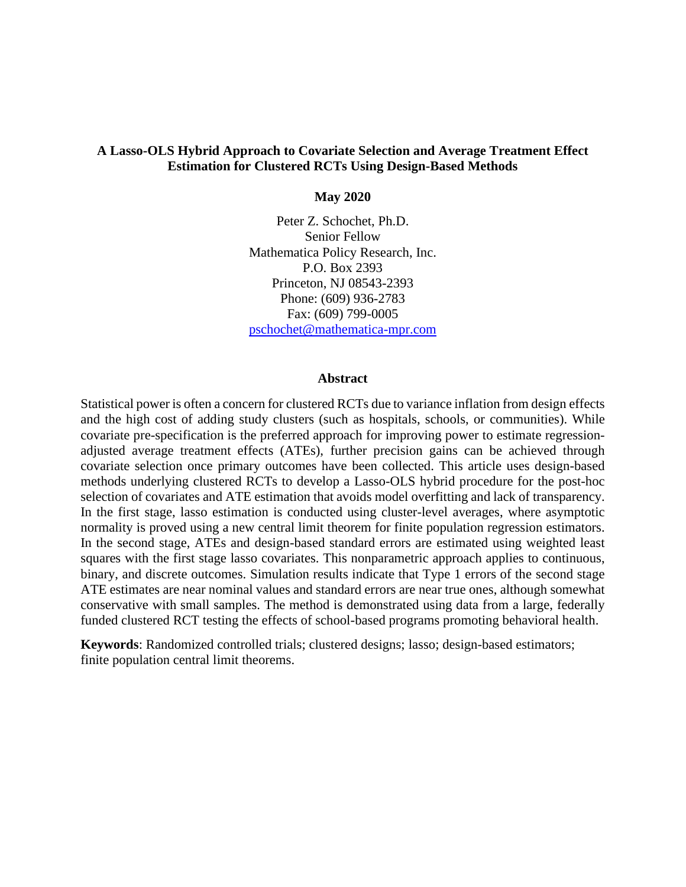# **A Lasso-OLS Hybrid Approach to Covariate Selection and Average Treatment Effect Estimation for Clustered RCTs Using Design-Based Methods**

**May 2020**

Peter Z. Schochet, Ph.D. Senior Fellow Mathematica Policy Research, Inc. P.O. Box 2393 Princeton, NJ 08543-2393 Phone: (609) 936-2783 Fax: (609) 799-0005 [pschochet@mathematica-mpr.com](mailto:pschochet@mathematica-mpr.com)

#### **Abstract**

Statistical power is often a concern for clustered RCTs due to variance inflation from design effects and the high cost of adding study clusters (such as hospitals, schools, or communities). While covariate pre-specification is the preferred approach for improving power to estimate regressionadjusted average treatment effects (ATEs), further precision gains can be achieved through covariate selection once primary outcomes have been collected. This article uses design-based methods underlying clustered RCTs to develop a Lasso-OLS hybrid procedure for the post-hoc selection of covariates and ATE estimation that avoids model overfitting and lack of transparency. In the first stage, lasso estimation is conducted using cluster-level averages, where asymptotic normality is proved using a new central limit theorem for finite population regression estimators. In the second stage, ATEs and design-based standard errors are estimated using weighted least squares with the first stage lasso covariates. This nonparametric approach applies to continuous, binary, and discrete outcomes. Simulation results indicate that Type 1 errors of the second stage ATE estimates are near nominal values and standard errors are near true ones, although somewhat conservative with small samples. The method is demonstrated using data from a large, federally funded clustered RCT testing the effects of school-based programs promoting behavioral health.

**Keywords**: Randomized controlled trials; clustered designs; lasso; design-based estimators; finite population central limit theorems.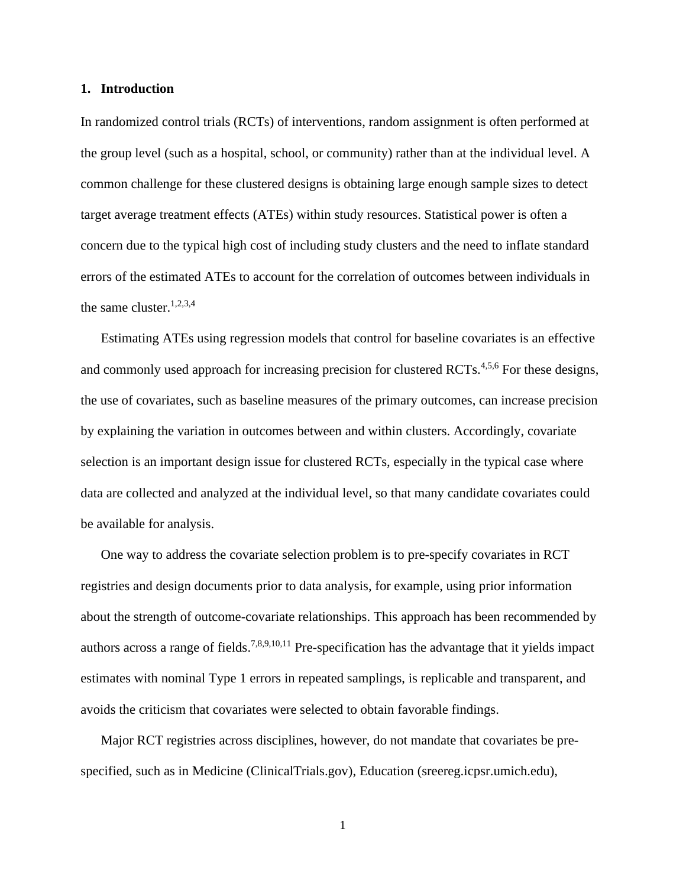#### **1. Introduction**

In randomized control trials (RCTs) of interventions, random assignment is often performed at the group level (such as a hospital, school, or community) rather than at the individual level. A common challenge for these clustered designs is obtaining large enough sample sizes to detect target average treatment effects (ATEs) within study resources. Statistical power is often a concern due to the typical high cost of including study clusters and the need to inflate standard errors of the estimated ATEs to account for the correlation of outcomes between individuals in the same cluster. 1,2,3,4

Estimating ATEs using regression models that control for baseline covariates is an effective and commonly used approach for increasing precision for clustered RCTs.<sup>4,5,6</sup> For these designs, the use of covariates, such as baseline measures of the primary outcomes, can increase precision by explaining the variation in outcomes between and within clusters. Accordingly, covariate selection is an important design issue for clustered RCTs, especially in the typical case where data are collected and analyzed at the individual level, so that many candidate covariates could be available for analysis.

One way to address the covariate selection problem is to pre-specify covariates in RCT registries and design documents prior to data analysis, for example, using prior information about the strength of outcome-covariate relationships. This approach has been recommended by authors across a range of fields.<sup>7,8,9,10,11</sup> Pre-specification has the advantage that it yields impact estimates with nominal Type 1 errors in repeated samplings, is replicable and transparent, and avoids the criticism that covariates were selected to obtain favorable findings.

Major RCT registries across disciplines, however, do not mandate that covariates be prespecified, such as in Medicine (ClinicalTrials.gov), Education (sreereg.icpsr.umich.edu),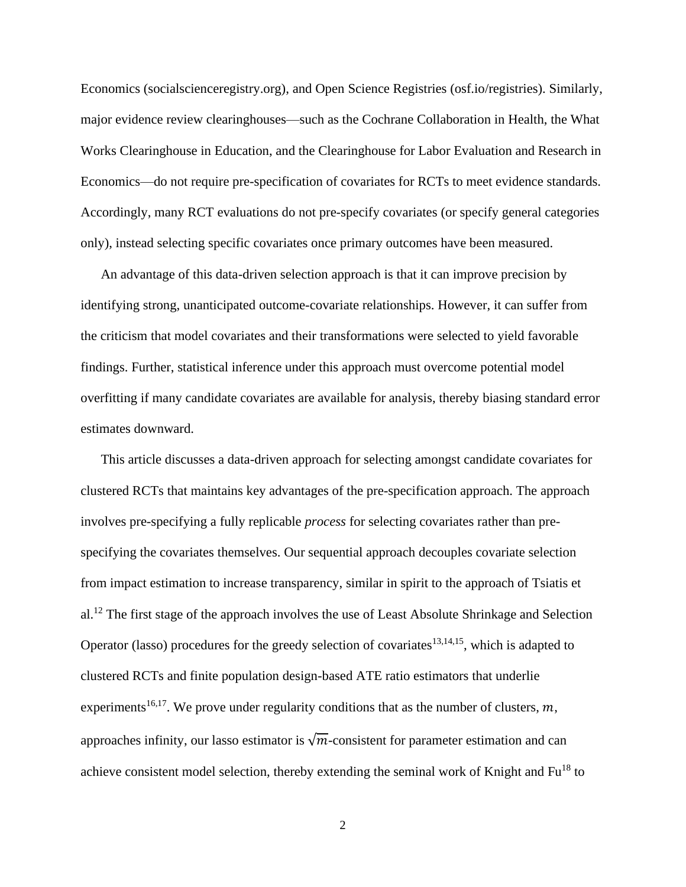Economics (socialscienceregistry.org), and Open Science Registries (osf.io/registries). Similarly, major evidence review clearinghouses—such as the Cochrane Collaboration in Health, the What Works Clearinghouse in Education, and the Clearinghouse for Labor Evaluation and Research in Economics—do not require pre-specification of covariates for RCTs to meet evidence standards. Accordingly, many RCT evaluations do not pre-specify covariates (or specify general categories only), instead selecting specific covariates once primary outcomes have been measured.

An advantage of this data-driven selection approach is that it can improve precision by identifying strong, unanticipated outcome-covariate relationships. However, it can suffer from the criticism that model covariates and their transformations were selected to yield favorable findings. Further, statistical inference under this approach must overcome potential model overfitting if many candidate covariates are available for analysis, thereby biasing standard error estimates downward.

This article discusses a data-driven approach for selecting amongst candidate covariates for clustered RCTs that maintains key advantages of the pre-specification approach. The approach involves pre-specifying a fully replicable *process* for selecting covariates rather than prespecifying the covariates themselves. Our sequential approach decouples covariate selection from impact estimation to increase transparency, similar in spirit to the approach of Tsiatis et al.<sup>12</sup> The first stage of the approach involves the use of Least Absolute Shrinkage and Selection Operator (lasso) procedures for the greedy selection of covariates<sup>13,14,15</sup>, which is adapted to clustered RCTs and finite population design-based ATE ratio estimators that underlie experiments<sup>16,17</sup>. We prove under regularity conditions that as the number of clusters,  $m$ , approaches infinity, our lasso estimator is  $\sqrt{m}$ -consistent for parameter estimation and can achieve consistent model selection, thereby extending the seminal work of Knight and Fu<sup>18</sup> to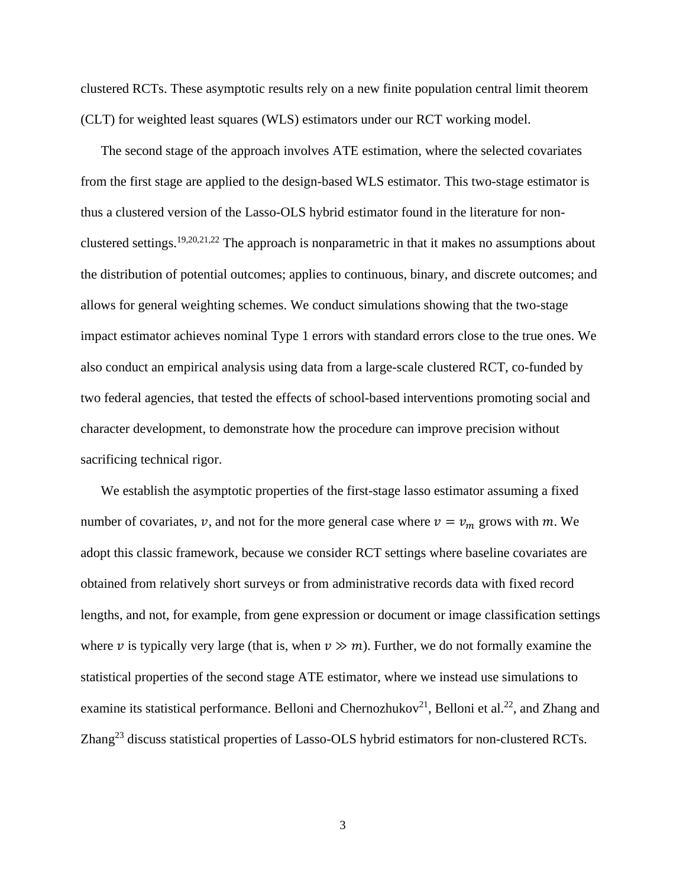clustered RCTs. These asymptotic results rely on a new finite population central limit theorem (CLT) for weighted least squares (WLS) estimators under our RCT working model.

The second stage of the approach involves ATE estimation, where the selected covariates from the first stage are applied to the design-based WLS estimator. This two-stage estimator is thus a clustered version of the Lasso-OLS hybrid estimator found in the literature for nonclustered settings.<sup>19,20,21,22</sup> The approach is nonparametric in that it makes no assumptions about the distribution of potential outcomes; applies to continuous, binary, and discrete outcomes; and allows for general weighting schemes. We conduct simulations showing that the two-stage impact estimator achieves nominal Type 1 errors with standard errors close to the true ones. We also conduct an empirical analysis using data from a large-scale clustered RCT, co-funded by two federal agencies, that tested the effects of school-based interventions promoting social and character development, to demonstrate how the procedure can improve precision without sacrificing technical rigor.

We establish the asymptotic properties of the first-stage lasso estimator assuming a fixed number of covariates,  $v$ , and not for the more general case where  $v = v_m$  grows with m. We adopt this classic framework, because we consider RCT settings where baseline covariates are obtained from relatively short surveys or from administrative records data with fixed record lengths, and not, for example, from gene expression or document or image classification settings where v is typically very large (that is, when  $v \gg m$ ). Further, we do not formally examine the statistical properties of the second stage ATE estimator, where we instead use simulations to examine its statistical performance. Belloni and Chernozhukov<sup>21</sup>, Belloni et al.<sup>22</sup>, and Zhang and Zhang<sup>23</sup> discuss statistical properties of Lasso-OLS hybrid estimators for non-clustered RCTs.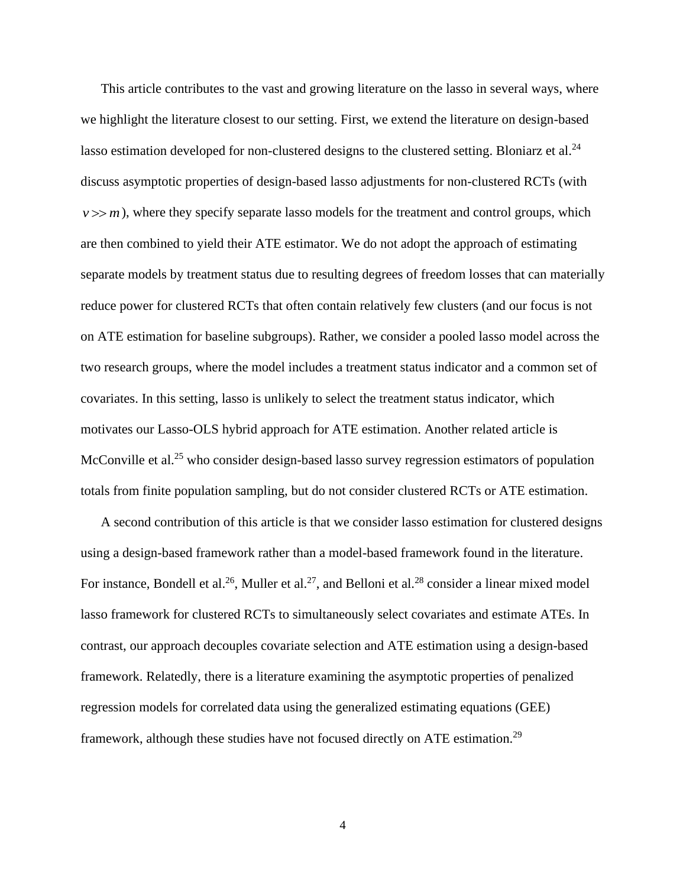This article contributes to the vast and growing literature on the lasso in several ways, where we highlight the literature closest to our setting. First, we extend the literature on design-based lasso estimation developed for non-clustered designs to the clustered setting. Bloniarz et al.<sup>24</sup> discuss asymptotic properties of design-based lasso adjustments for non-clustered RCTs (with  $v \gg m$ ), where they specify separate lasso models for the treatment and control groups, which are then combined to yield their ATE estimator. We do not adopt the approach of estimating separate models by treatment status due to resulting degrees of freedom losses that can materially reduce power for clustered RCTs that often contain relatively few clusters (and our focus is not on ATE estimation for baseline subgroups). Rather, we consider a pooled lasso model across the two research groups, where the model includes a treatment status indicator and a common set of covariates. In this setting, lasso is unlikely to select the treatment status indicator, which motivates our Lasso-OLS hybrid approach for ATE estimation. Another related article is McConville et al.<sup>25</sup> who consider design-based lasso survey regression estimators of population totals from finite population sampling, but do not consider clustered RCTs or ATE estimation.

A second contribution of this article is that we consider lasso estimation for clustered designs using a design-based framework rather than a model-based framework found in the literature. For instance, Bondell et al.<sup>26</sup>, Muller et al.<sup>27</sup>, and Belloni et al.<sup>28</sup> consider a linear mixed model lasso framework for clustered RCTs to simultaneously select covariates and estimate ATEs. In contrast, our approach decouples covariate selection and ATE estimation using a design-based framework. Relatedly, there is a literature examining the asymptotic properties of penalized regression models for correlated data using the generalized estimating equations (GEE) framework, although these studies have not focused directly on ATE estimation.<sup>29</sup>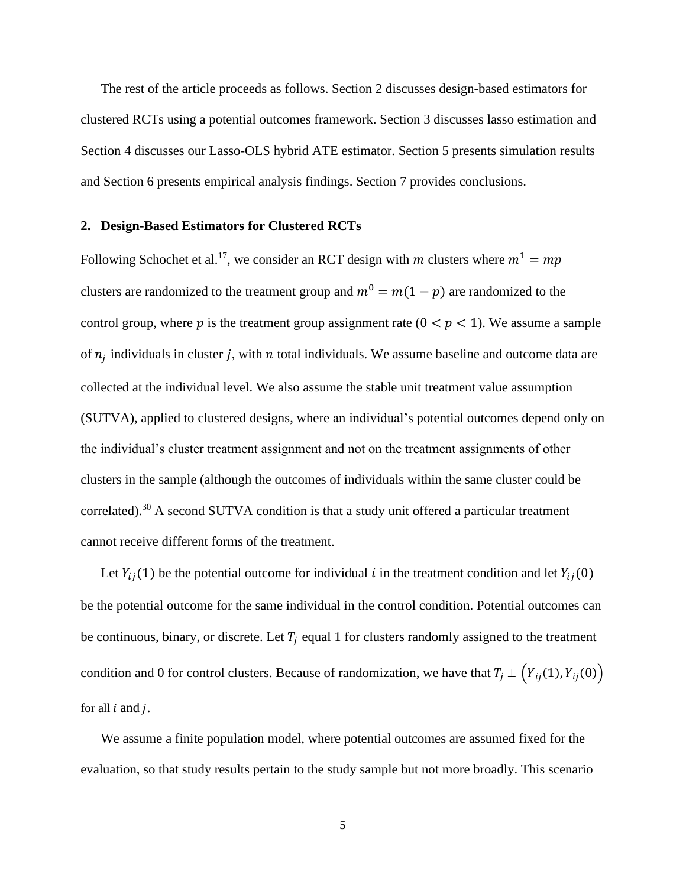The rest of the article proceeds as follows. Section 2 discusses design-based estimators for clustered RCTs using a potential outcomes framework. Section 3 discusses lasso estimation and Section 4 discusses our Lasso-OLS hybrid ATE estimator. Section 5 presents simulation results and Section 6 presents empirical analysis findings. Section 7 provides conclusions.

#### **2. Design-Based Estimators for Clustered RCTs**

Following Schochet et al.<sup>17</sup>, we consider an RCT design with m clusters where  $m^1 = mp$ clusters are randomized to the treatment group and  $m^0 = m(1 - p)$  are randomized to the control group, where p is the treatment group assignment rate  $(0 < p < 1)$ . We assume a sample of  $n_j$  individuals in cluster j, with  $n$  total individuals. We assume baseline and outcome data are collected at the individual level. We also assume the stable unit treatment value assumption (SUTVA), applied to clustered designs, where an individual's potential outcomes depend only on the individual's cluster treatment assignment and not on the treatment assignments of other clusters in the sample (although the outcomes of individuals within the same cluster could be correlated).<sup>30</sup> A second SUTVA condition is that a study unit offered a particular treatment cannot receive different forms of the treatment.

Let  $Y_{ii}(1)$  be the potential outcome for individual *i* in the treatment condition and let  $Y_{ii}(0)$ be the potential outcome for the same individual in the control condition. Potential outcomes can be continuous, binary, or discrete. Let  $T_i$  equal 1 for clusters randomly assigned to the treatment condition and 0 for control clusters. Because of randomization, we have that  $T_j \perp (Y_{ij}(1), Y_{ij}(0))$ for all  $i$  and  $j$ .

We assume a finite population model, where potential outcomes are assumed fixed for the evaluation, so that study results pertain to the study sample but not more broadly. This scenario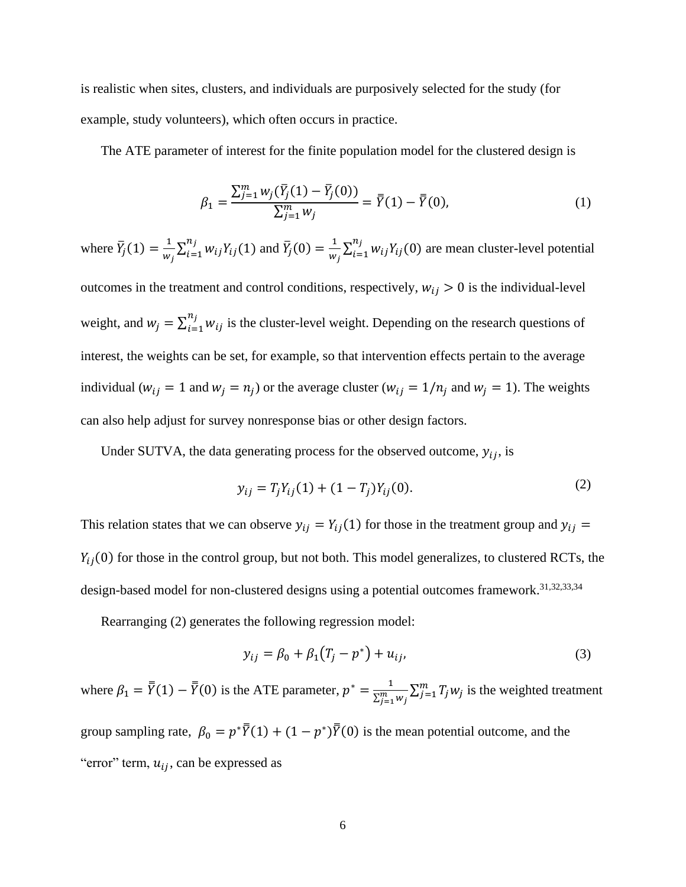is realistic when sites, clusters, and individuals are purposively selected for the study (for example, study volunteers), which often occurs in practice.

The ATE parameter of interest for the finite population model for the clustered design is

$$
\beta_1 = \frac{\sum_{j=1}^m w_j(\bar{Y}_j(1) - \bar{Y}_j(0))}{\sum_{j=1}^m w_j} = \bar{\bar{Y}}(1) - \bar{\bar{Y}}(0),\tag{1}
$$

where  $\overline{Y}_j(1) = \frac{1}{W}$  $\frac{1}{w_j} \sum_{i=1}^{n_j} w_{ij} Y_{ij}(1)$  $_{i=1}^{n_j} w_{ij} Y_{ij}(1)$  and  $\bar{Y}_j(0) = \frac{1}{w_j}$  $\frac{1}{w_j} \sum_{i=1}^{n_j} w_{ij} Y_{ij}(0)$  $\sum_{i=1}^{n_j} w_{ij} Y_{ij}(0)$  are mean cluster-level potential outcomes in the treatment and control conditions, respectively,  $w_{ij} > 0$  is the individual-level weight, and  $w_j = \sum_{i=1}^{n_j} w_{ij}$  $\sum_{i=1}^{n_j} w_{ij}$  is the cluster-level weight. Depending on the research questions of interest, the weights can be set, for example, so that intervention effects pertain to the average individual ( $w_{ij} = 1$  and  $w_j = n_j$ ) or the average cluster ( $w_{ij} = 1/n_j$  and  $w_j = 1$ ). The weights can also help adjust for survey nonresponse bias or other design factors.

Under SUTVA, the data generating process for the observed outcome,  $y_{ij}$ , is

$$
y_{ij} = T_j Y_{ij}(1) + (1 - T_j) Y_{ij}(0).
$$
 (2)

This relation states that we can observe  $y_{ij} = Y_{ij}(1)$  for those in the treatment group and  $y_{ij} =$  $Y_{ii}(0)$  for those in the control group, but not both. This model generalizes, to clustered RCTs, the design-based model for non-clustered designs using a potential outcomes framework.<sup>31,32,33,34</sup>

Rearranging (2) generates the following regression model:

$$
y_{ij} = \beta_0 + \beta_1 (T_j - p^*) + u_{ij}, \tag{3}
$$

where  $\beta_1 = \overline{\overline{Y}}(1) - \overline{\overline{Y}}(0)$  is the ATE parameter,  $p^* = \frac{1}{\sqrt{m}}$  $\frac{1}{\sum_{j=1}^m w_j} \sum_{j=1}^m T_j w_j$  is the weighted treatment group sampling rate,  $\beta_0 = p^* \overline{Y}(1) + (1 - p^*) \overline{Y}(0)$  is the mean potential outcome, and the "error" term,  $u_{ij}$ , can be expressed as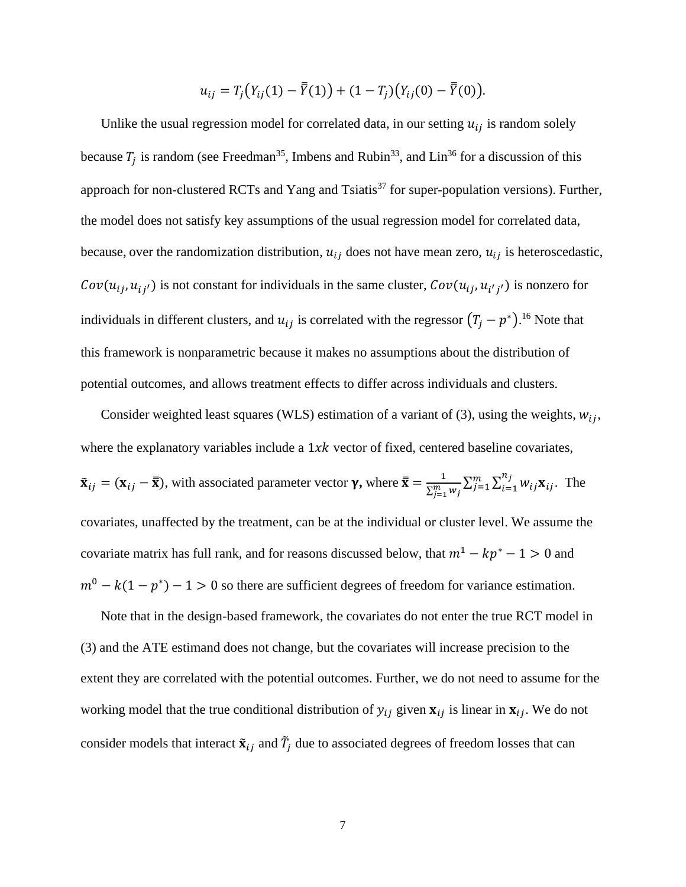$$
u_{ij}=T_j(Y_{ij}(1)-\bar{Y}(1))+(1-T_j)(Y_{ij}(0)-\bar{Y}(0)).
$$

Unlike the usual regression model for correlated data, in our setting  $u_{ij}$  is random solely because  $T_j$  is random (see Freedman<sup>35</sup>, Imbens and Rubin<sup>33</sup>, and Lin<sup>36</sup> for a discussion of this approach for non-clustered RCTs and Yang and Tsiatis<sup>37</sup> for super-population versions). Further, the model does not satisfy key assumptions of the usual regression model for correlated data, because, over the randomization distribution,  $u_{ij}$  does not have mean zero,  $u_{ij}$  is heteroscedastic,  $Cov(u_{ij}, u_{ij})$  is not constant for individuals in the same cluster,  $Cov(u_{ij}, u_{i'j'})$  is nonzero for individuals in different clusters, and  $u_{ij}$  is correlated with the regressor  $(T_j - p^*)$ .<sup>16</sup> Note that this framework is nonparametric because it makes no assumptions about the distribution of potential outcomes, and allows treatment effects to differ across individuals and clusters.

Consider weighted least squares (WLS) estimation of a variant of (3), using the weights,  $w_{ij}$ , where the explanatory variables include a  $1xk$  vector of fixed, centered baseline covariates,  $\tilde{\mathbf{x}}_{ij} = (\mathbf{x}_{ij} - \bar{\mathbf{x}})$ , with associated parameter vector  $\gamma$ , where  $\bar{\mathbf{x}} = \frac{1}{\nabla^m}$  $\frac{1}{\sum_{j=1}^{m} w_j} \sum_{j=1}^{m} \sum_{i=1}^{n_j} w_{ij} \mathbf{x}_{ij}$  $i=1$  $\sum_{i=1}^m \sum_{i=1}^{n_j} w_{ij} \mathbf{x}_{ij}$ . The covariates, unaffected by the treatment, can be at the individual or cluster level. We assume the covariate matrix has full rank, and for reasons discussed below, that  $m^1 - kp^* - 1 > 0$  and  $m^0 - k(1 - p^*) - 1 > 0$  so there are sufficient degrees of freedom for variance estimation.

Note that in the design-based framework, the covariates do not enter the true RCT model in (3) and the ATE estimand does not change, but the covariates will increase precision to the extent they are correlated with the potential outcomes. Further, we do not need to assume for the working model that the true conditional distribution of  $y_{ij}$  given  $x_{ij}$  is linear in  $x_{ij}$ . We do not consider models that interact  $\tilde{\mathbf{x}}_{ij}$  and  $\tilde{T}_j$  due to associated degrees of freedom losses that can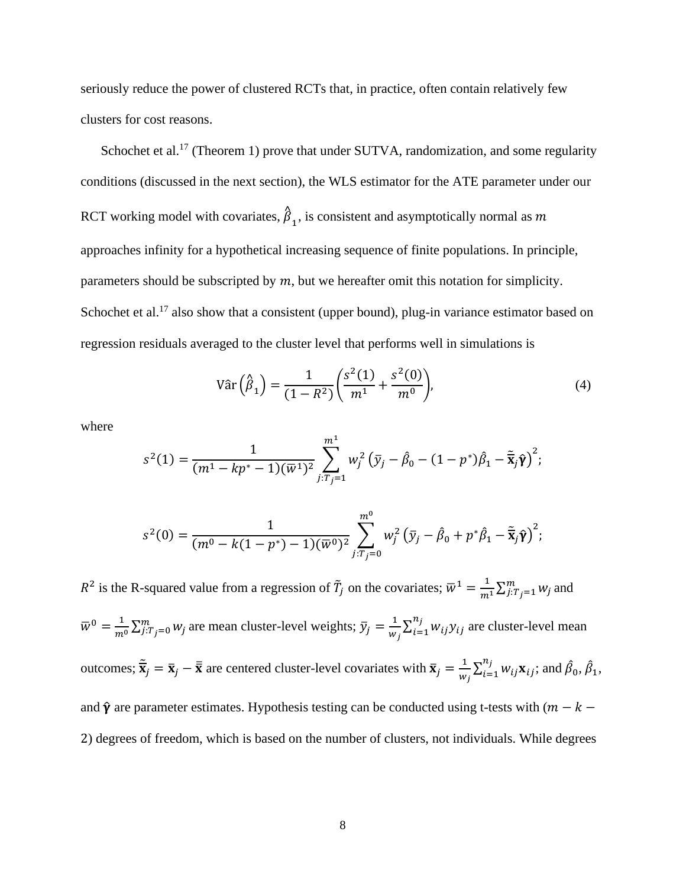seriously reduce the power of clustered RCTs that, in practice, often contain relatively few clusters for cost reasons.

Schochet et al.<sup>17</sup> (Theorem 1) prove that under SUTVA, randomization, and some regularity conditions (discussed in the next section), the WLS estimator for the ATE parameter under our RCT working model with covariates,  $\hat{\beta}$  $_1$ , is consistent and asymptotically normal as m approaches infinity for a hypothetical increasing sequence of finite populations. In principle, parameters should be subscripted by  $m$ , but we hereafter omit this notation for simplicity. Schochet et al.<sup>17</sup> also show that a consistent (upper bound), plug-in variance estimator based on regression residuals averaged to the cluster level that performs well in simulations is

$$
Var\left(\hat{\beta}_1\right) = \frac{1}{(1 - R^2)} \left(\frac{s^2(1)}{m^1} + \frac{s^2(0)}{m^0}\right),\tag{4}
$$

where

$$
s^{2}(1) = \frac{1}{(m^{1} - kp^{*} - 1)(\overline{w}^{1})^{2}} \sum_{j:T_{j} = 1}^{m^{1}} w_{j}^{2} (\overline{y}_{j} - \hat{\beta}_{0} - (1 - p^{*})\hat{\beta}_{1} - \overline{\mathbf{\tilde{x}}}_{j}\hat{\mathbf{\gamma}})^{2};
$$

$$
s^{2}(0) = \frac{1}{(m^{0} - k(1-p^{*}) - 1)(\overline{w}^{0})^{2}} \sum_{j:T_{j}=0}^{m^{0}} w_{j}^{2} (\overline{y}_{j} - \hat{\beta}_{0} + p^{*} \hat{\beta}_{1} - \overline{\tilde{\mathbf{x}}}_{j} \hat{\mathbf{\gamma}})^{2};
$$

 $R^2$  is the R-squared value from a regression of  $\tilde{T}_j$  on the covariates;  $\overline{w}^1 = \frac{1}{m^1} \sum_{j:T_j=1}^m w_j$  and  $\overline{w}^0 = \frac{1}{m^0} \sum_{j:T_j=0}^m w_j$  are mean cluster-level weights;  $\overline{y}_j = \frac{1}{w}$  $\frac{1}{w_j} \sum_{i=1}^{n_j} w_{ij} y_{ij}$  $\sum_{i=1}^{n_j} w_{ij} y_{ij}$  are cluster-level mean outcomes;  $\tilde{\overline{x}}_j = \overline{x}_j - \overline{\overline{x}}$  are centered cluster-level covariates with  $\overline{x}_j = \frac{1}{w}$  $\frac{1}{w_j} \sum_{i=1}^{n_j} w_{ij} \mathbf{x}_{ij}$  $_{i=1}^{n_j} w_{ij} \mathbf{x}_{ij}$ ; and  $\hat{\beta}_0$ ,  $\hat{\beta}_1$ , and  $\hat{\gamma}$  are parameter estimates. Hypothesis testing can be conducted using t-tests with  $(m - k - )$ 2) degrees of freedom, which is based on the number of clusters, not individuals. While degrees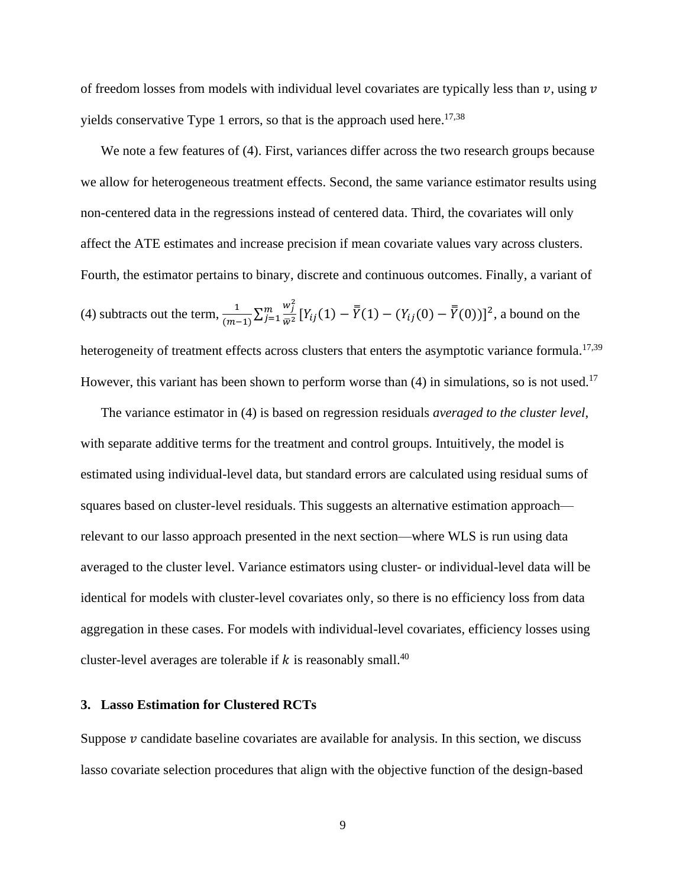of freedom losses from models with individual level covariates are typically less than  $v$ , using  $v$ yields conservative Type 1 errors, so that is the approach used here.<sup>17,38</sup>

We note a few features of (4). First, variances differ across the two research groups because we allow for heterogeneous treatment effects. Second, the same variance estimator results using non-centered data in the regressions instead of centered data. Third, the covariates will only affect the ATE estimates and increase precision if mean covariate values vary across clusters. Fourth, the estimator pertains to binary, discrete and continuous outcomes. Finally, a variant of (4) subtracts out the term,  $\frac{1}{\sqrt{2}}$  $\frac{1}{(m-1)}\sum_{j=1}^{m}\frac{w_j^2}{\bar{w}^2}$  $\frac{m}{j=1} \frac{w_j}{\bar{w}^2} [Y_{ij}(1) - \bar{Y}(1) - (Y_{ij}(0) - \bar{Y}(0))]^2$ , a bound on the heterogeneity of treatment effects across clusters that enters the asymptotic variance formula.<sup>17,39</sup> However, this variant has been shown to perform worse than (4) in simulations, so is not used.<sup>17</sup>

The variance estimator in (4) is based on regression residuals *averaged to the cluster level*, with separate additive terms for the treatment and control groups. Intuitively, the model is estimated using individual-level data, but standard errors are calculated using residual sums of squares based on cluster-level residuals. This suggests an alternative estimation approach relevant to our lasso approach presented in the next section—where WLS is run using data averaged to the cluster level. Variance estimators using cluster- or individual-level data will be identical for models with cluster-level covariates only, so there is no efficiency loss from data aggregation in these cases. For models with individual-level covariates, efficiency losses using cluster-level averages are tolerable if k is reasonably small.<sup>40</sup>

## **3. Lasso Estimation for Clustered RCTs**

Suppose  $\nu$  candidate baseline covariates are available for analysis. In this section, we discuss lasso covariate selection procedures that align with the objective function of the design-based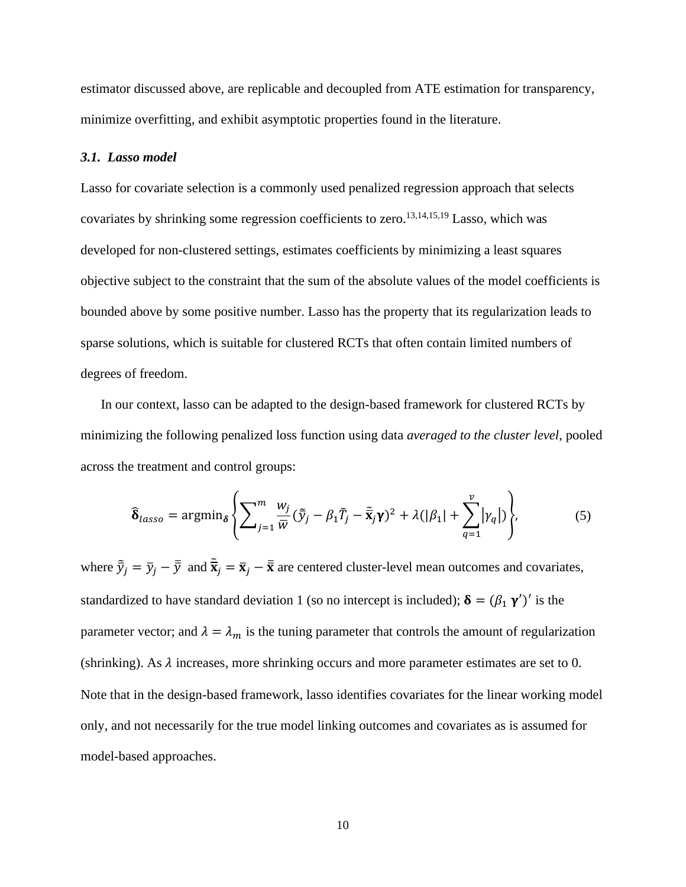estimator discussed above, are replicable and decoupled from ATE estimation for transparency, minimize overfitting, and exhibit asymptotic properties found in the literature.

#### *3.1.**Lasso model*

Lasso for covariate selection is a commonly used penalized regression approach that selects covariates by shrinking some regression coefficients to zero.<sup>13,14,15,19</sup> Lasso, which was developed for non-clustered settings, estimates coefficients by minimizing a least squares objective subject to the constraint that the sum of the absolute values of the model coefficients is bounded above by some positive number. Lasso has the property that its regularization leads to sparse solutions, which is suitable for clustered RCTs that often contain limited numbers of degrees of freedom.

In our context, lasso can be adapted to the design-based framework for clustered RCTs by minimizing the following penalized loss function using data *averaged to the cluster level*, pooled across the treatment and control groups:

$$
\widehat{\delta}_{lasso} = \operatorname{argmin}_{\delta} \left\{ \sum_{j=1}^{m} \frac{w_j}{\overline{w}} (\overline{\tilde{y}}_j - \beta_1 \overline{T}_j - \overline{\tilde{\mathbf{x}}}_j \mathbf{y})^2 + \lambda (|\beta_1| + \sum_{q=1}^{\nu} |\gamma_q|) \right\},\tag{5}
$$

where  $\tilde{\bar{y}}_j = \bar{y}_j - \bar{\bar{y}}$  and  $\tilde{\bar{x}}_j = \bar{x}_j - \bar{\bar{x}}$  are centered cluster-level mean outcomes and covariates, standardized to have standard deviation 1 (so no intercept is included);  $\delta = (\beta_1 \gamma')'$  is the parameter vector; and  $\lambda = \lambda_m$  is the tuning parameter that controls the amount of regularization (shrinking). As  $\lambda$  increases, more shrinking occurs and more parameter estimates are set to 0. Note that in the design-based framework, lasso identifies covariates for the linear working model only, and not necessarily for the true model linking outcomes and covariates as is assumed for model-based approaches.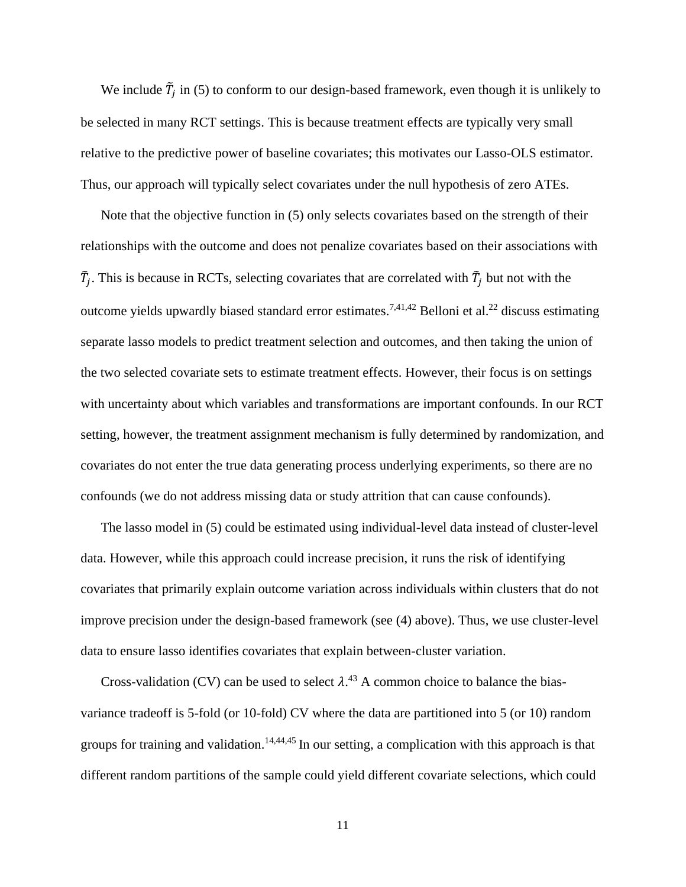We include  $\tilde{T}_j$  in (5) to conform to our design-based framework, even though it is unlikely to be selected in many RCT settings. This is because treatment effects are typically very small relative to the predictive power of baseline covariates; this motivates our Lasso-OLS estimator. Thus, our approach will typically select covariates under the null hypothesis of zero ATEs.

Note that the objective function in (5) only selects covariates based on the strength of their relationships with the outcome and does not penalize covariates based on their associations with  $\tilde{T}_j$ . This is because in RCTs, selecting covariates that are correlated with  $\tilde{T}_j$  but not with the outcome yields upwardly biased standard error estimates.<sup>7,41,42</sup> Belloni et al.<sup>22</sup> discuss estimating separate lasso models to predict treatment selection and outcomes, and then taking the union of the two selected covariate sets to estimate treatment effects. However, their focus is on settings with uncertainty about which variables and transformations are important confounds. In our RCT setting, however, the treatment assignment mechanism is fully determined by randomization, and covariates do not enter the true data generating process underlying experiments, so there are no confounds (we do not address missing data or study attrition that can cause confounds).

The lasso model in (5) could be estimated using individual-level data instead of cluster-level data. However, while this approach could increase precision, it runs the risk of identifying covariates that primarily explain outcome variation across individuals within clusters that do not improve precision under the design-based framework (see (4) above). Thus, we use cluster-level data to ensure lasso identifies covariates that explain between-cluster variation.

Cross-validation (CV) can be used to select  $\lambda$ .<sup>43</sup> A common choice to balance the biasvariance tradeoff is 5-fold (or 10-fold) CV where the data are partitioned into 5 (or 10) random groups for training and validation.<sup>14,44,45</sup> In our setting, a complication with this approach is that different random partitions of the sample could yield different covariate selections, which could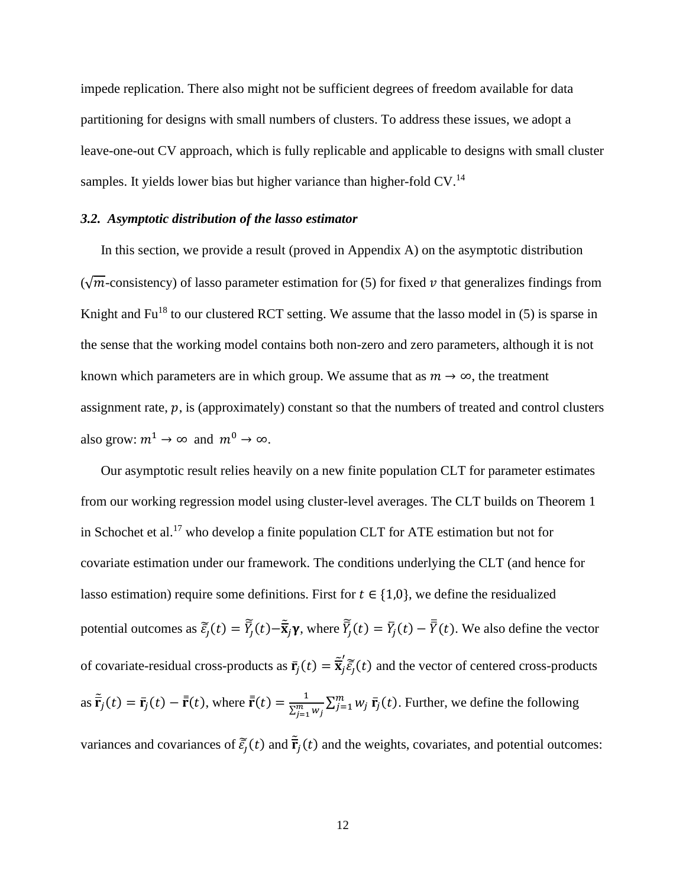impede replication. There also might not be sufficient degrees of freedom available for data partitioning for designs with small numbers of clusters. To address these issues, we adopt a leave-one-out CV approach, which is fully replicable and applicable to designs with small cluster samples. It yields lower bias but higher variance than higher-fold  $CV^{14}$ 

## *3.2. Asymptotic distribution of the lasso estimator*

In this section, we provide a result (proved in Appendix A) on the asymptotic distribution  $(\sqrt{m}$ -consistency) of lasso parameter estimation for (5) for fixed v that generalizes findings from Knight and  $Fu^{18}$  to our clustered RCT setting. We assume that the lasso model in (5) is sparse in the sense that the working model contains both non-zero and zero parameters, although it is not known which parameters are in which group. We assume that as  $m \to \infty$ , the treatment assignment rate,  $p$ , is (approximately) constant so that the numbers of treated and control clusters also grow:  $m^1 \rightarrow \infty$  and  $m^0 \rightarrow \infty$ .

Our asymptotic result relies heavily on a new finite population CLT for parameter estimates from our working regression model using cluster-level averages. The CLT builds on Theorem 1 in Schochet et al.<sup>17</sup> who develop a finite population CLT for ATE estimation but not for covariate estimation under our framework. The conditions underlying the CLT (and hence for lasso estimation) require some definitions. First for  $t \in \{1,0\}$ , we define the residualized potential outcomes as  $\tilde{\bar{\epsilon}}_j(t) = \tilde{\bar{Y}}_j(t) - \tilde{\bar{\mathbf{x}}}_j \gamma$ , where  $\tilde{\bar{Y}}_j(t) = \bar{Y}_j(t) - \bar{\bar{Y}}_j(t)$ . We also define the vector of covariate-residual cross-products as  $\bar{r}_j(t) = \tilde{\bar{x}}'_j$  $\int_{i}^{t} \widetilde{\xi}_{j}(t)$  and the vector of centered cross-products as  $\tilde{\mathbf{r}}_j(t) = \mathbf{r}_j(t) - \bar{\mathbf{r}}(t)$ , where  $\bar{\mathbf{r}}(t) = \frac{1}{\nabla^m}$  $\frac{1}{\sum_{j=1}^m w_j} \sum_{j=1}^m w_j \bar{\mathbf{r}}_j(t)$ . Further, we define the following

variances and covariances of  $\tilde{\vec{\epsilon}}_j(t)$  and  $\tilde{\vec{\mathbf{r}}}_j(t)$  and the weights, covariates, and potential outcomes: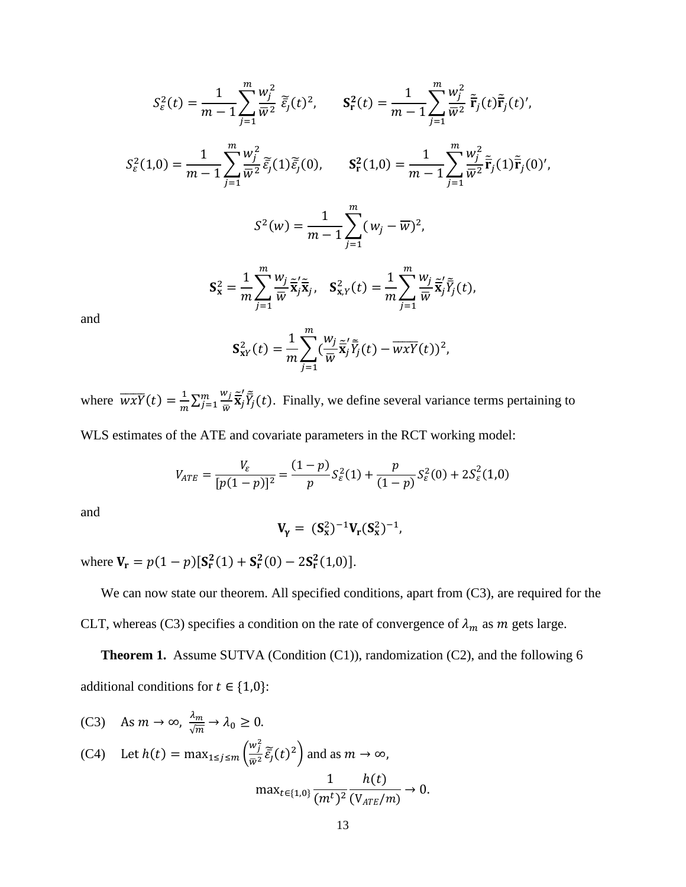$$
S_{\varepsilon}^{2}(t) = \frac{1}{m-1} \sum_{j=1}^{m} \frac{w_{j}^{2}}{\bar{w}^{2}} \, \tilde{\varepsilon}_{j}(t)^{2}, \qquad \mathbf{S}_{\mathbf{r}}^{2}(t) = \frac{1}{m-1} \sum_{j=1}^{m} \frac{w_{j}^{2}}{\bar{w}^{2}} \, \tilde{\mathbf{r}}_{j}(t) \tilde{\mathbf{r}}_{j}(t)^{'} ,
$$
\n
$$
S_{\varepsilon}^{2}(1,0) = \frac{1}{m-1} \sum_{j=1}^{m} \frac{w_{j}^{2}}{\bar{w}^{2}} \, \tilde{\varepsilon}_{j}(1) \tilde{\varepsilon}_{j}(0), \qquad \mathbf{S}_{\mathbf{r}}^{2}(1,0) = \frac{1}{m-1} \sum_{j=1}^{m} \frac{w_{j}^{2}}{\bar{w}^{2}} \, \tilde{\mathbf{r}}_{j}(1) \tilde{\mathbf{r}}_{j}(0)^{'} ,
$$
\n
$$
S^{2}(w) = \frac{1}{m-1} \sum_{j=1}^{m} (w_{j} - \overline{w})^{2} ,
$$
\n
$$
\mathbf{S}_{\mathbf{x}}^{2} = \frac{1}{m} \sum_{j=1}^{m} \frac{w_{j}}{\bar{w}} \tilde{\mathbf{x}}_{j}^{\prime} \tilde{\mathbf{x}}_{j}, \quad \mathbf{S}_{\mathbf{x},Y}^{2}(t) = \frac{1}{m} \sum_{j=1}^{m} \frac{w_{j}}{\bar{w}} \tilde{\mathbf{x}}_{j}^{\prime} \tilde{\mathbf{r}}_{j}(t),
$$

and

$$
\mathbf{S}_{\mathbf{x}\mathbf{y}}^2(t) = \frac{1}{m} \sum_{j=1}^m (\frac{w_j}{\overline{w}} \overline{\widetilde{\mathbf{x}}}_j' \overline{\widetilde{Y}}_j(t) - \overline{w\mathbf{x}\mathbf{y}}(t))^2,
$$

where  $\overline{wxY}(t) = \frac{1}{m}$  $\frac{1}{m}\sum_{j=1}^{m}\frac{w_j}{\bar{w}}$  $\frac{N_j}{\bar{W}} \frac{\widetilde{\mathbf{x}}'}{\mathbf{X}_j}$  $\lim_{j=1} \frac{w_j}{\tilde{x}_j} \tilde{\vec{Y}}_j(t)$ . Finally, we define several variance terms pertaining to

WLS estimates of the ATE and covariate parameters in the RCT working model:

$$
V_{ATE} = \frac{V_{\varepsilon}}{[p(1-p)]^2} = \frac{(1-p)}{p} S_{\varepsilon}^2(1) + \frac{p}{(1-p)} S_{\varepsilon}^2(0) + 2S_{\varepsilon}^2(1,0)
$$

and

$$
V_{\gamma} = (S_x^2)^{-1} V_r (S_x^2)^{-1},
$$

where  $V_r = p(1-p)[S_r^2(1) + S_r^2(0) - 2S_r^2(1,0)].$ 

We can now state our theorem. All specified conditions, apart from  $(C3)$ , are required for the CLT, whereas (C3) specifies a condition on the rate of convergence of  $\lambda_m$  as m gets large.

**Theorem 1.** Assume SUTVA (Condition (C1)), randomization (C2), and the following 6 additional conditions for  $t \in \{1,0\}$ :

(C3) As 
$$
m \to \infty
$$
,  $\frac{\lambda_m}{\sqrt{m}} \to \lambda_0 \ge 0$ .  
\n(C4) Let  $h(t) = \max_{1 \le j \le m} \left( \frac{w_j^2}{\overline{w}^2} \overline{\tilde{\varepsilon}_j}(t)^2 \right)$  and as  $m \to \infty$ ,  
\n
$$
\max_{t \in \{1, 0\}} \frac{1}{(m^t)^2} \frac{h(t)}{(\mathbb{V}_{ATE}/m)} \to 0.
$$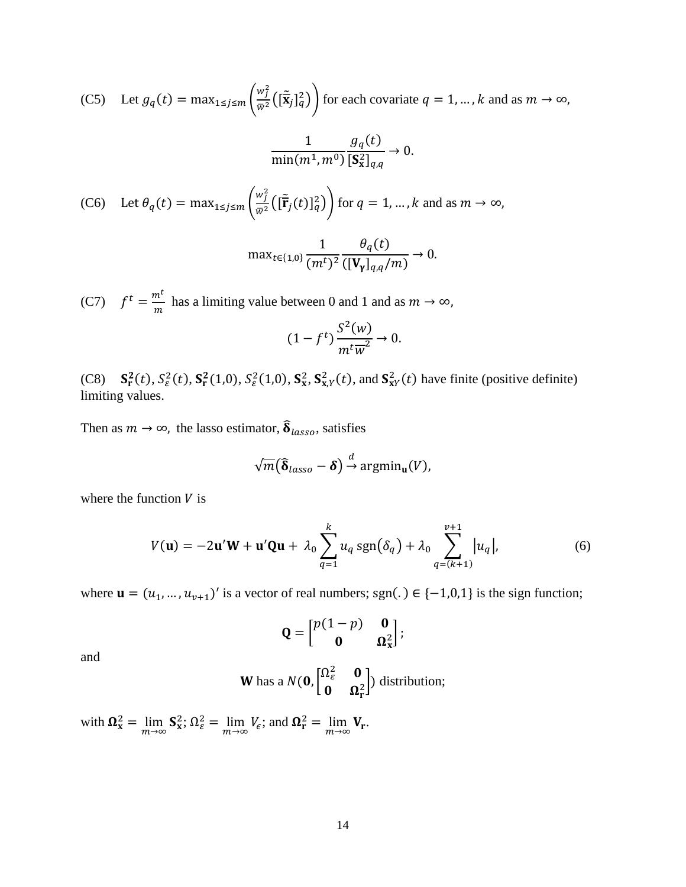(C5) Let 
$$
g_q(t) = \max_{1 \le j \le m} \left( \frac{w_j^2}{\bar{w}^2} \left( [\tilde{\mathbf{x}}_j]_q^2 \right) \right)
$$
 for each covariate  $q = 1, ..., k$  and as  $m \to \infty$ ,  
\n
$$
\frac{1}{\min(m^1, m^0)} \frac{g_q(t)}{[\mathbf{S}_x^2]_{q,q}} \to 0.
$$
\n(C6) Let  $\theta_q(t) = \max_{1 \le j \le m} \left( \frac{w_j^2}{\bar{w}^2} \left( [\tilde{\mathbf{F}}_j(t)]_q^2 \right) \right)$  for  $q = 1, ..., k$  and as  $m \to \infty$ ,  
\n
$$
\max_{t \in \{1, 0\}} \frac{1}{(m^t)^2} \frac{\theta_q(t)}{(\mathbf{V}_y]_{q,q}/m)} \to 0.
$$

(C7)  $f^t = \frac{m^t}{m}$  $\frac{n}{m}$  has a limiting value between 0 and 1 and as  $m \to \infty$ ,

$$
(1 - ft) \frac{S^2(w)}{m^t \overline{w}^2} \to 0.
$$

(C8)  $S_r^2(t)$ ,  $S_\varepsilon^2(t)$ ,  $S_r^2(1,0)$ ,  $S_\varepsilon^2(1,0)$ ,  $S_x^2$ ,  $S_{x,Y}^2(t)$ , and  $S_{XY}^2(t)$  have finite (positive definite) limiting values.

Then as  $m \to \infty$ , the lasso estimator,  $\widehat{\delta}_{lasso}$ , satisfies

$$
\sqrt{m}(\widehat{\boldsymbol{\delta}}_{lasso}-\boldsymbol{\delta})\stackrel{d}{\rightarrow}\mathrm{argmin}_{\mathbf{u}}(V),
$$

where the function  $V$  is

$$
V(\mathbf{u}) = -2\mathbf{u}'\mathbf{W} + \mathbf{u}'\mathbf{Q}\mathbf{u} + \lambda_0 \sum_{q=1}^{k} u_q \operatorname{sgn}(\delta_q) + \lambda_0 \sum_{q=(k+1)}^{v+1} |u_q|,
$$
 (6)

where  $\mathbf{u} = (u_1, ..., u_{\nu+1})'$  is a vector of real numbers; sgn(.)  $\in \{-1,0,1\}$  is the sign function;

$$
\mathbf{Q} = \begin{bmatrix} p(1-p) & \mathbf{0} \\ \mathbf{0} & \mathbf{\Omega}_{\mathbf{x}}^2 \end{bmatrix};
$$

and

**W** has a 
$$
N(\mathbf{0}, \begin{bmatrix} \Omega_{\varepsilon}^2 & \mathbf{0} \\ \mathbf{0} & \Omega_{\mathbf{r}}^2 \end{bmatrix})
$$
 distribution;

with  $\Omega_{\mathbf{x}}^2 = \lim_{m \to \infty} \mathbf{S}_{\mathbf{x}}^2$ ;  $\Omega_{\varepsilon}^2 = \lim_{m \to \infty} V_{\varepsilon}$ ; and  $\Omega_{\mathbf{r}}^2 = \lim_{m \to \infty} V_{\mathbf{r}}$ .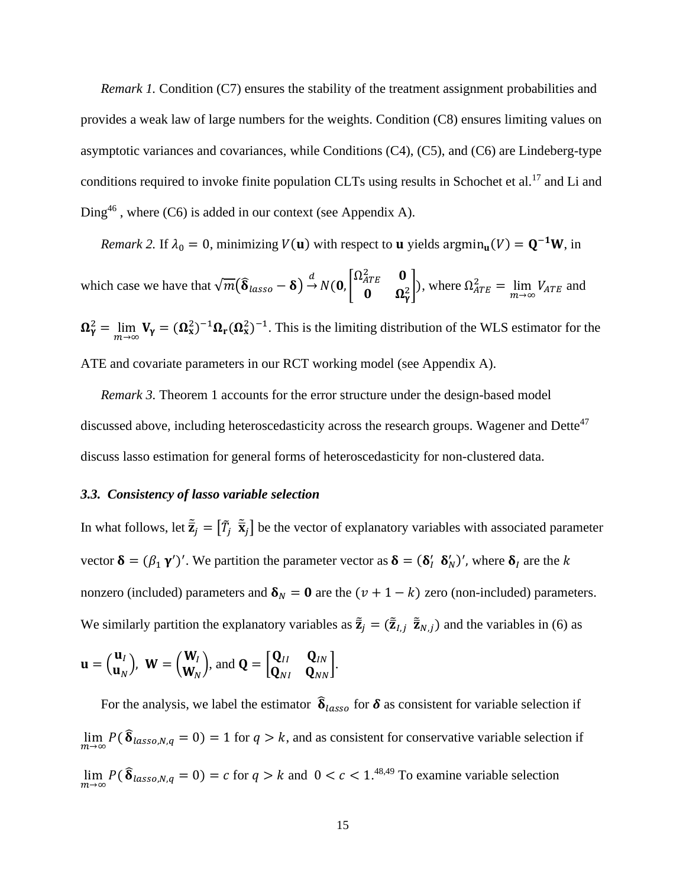*Remark 1.* Condition (C7) ensures the stability of the treatment assignment probabilities and provides a weak law of large numbers for the weights. Condition (C8) ensures limiting values on asymptotic variances and covariances, while Conditions (C4), (C5), and (C6) are Lindeberg-type conditions required to invoke finite population CLTs using results in Schochet et al.<sup>17</sup> and Li and Ding<sup>46</sup>, where  $(C6)$  is added in our context (see Appendix A).

*Remark 2.* If  $\lambda_0 = 0$ , minimizing  $V(\mathbf{u})$  with respect to **u** yields  $\operatorname{argmin}_{\mathbf{u}}(V) = \mathbf{Q}^{-1}\mathbf{W}$ , in which case we have that  $\sqrt{m}(\hat{\delta}_{lasso} - \delta) \stackrel{d}{\rightarrow} N(0, \begin{bmatrix} \Omega_{ATE}^2 & 0 \\ 0 & \Omega_{ATE}^2 \end{bmatrix})$  $\begin{bmatrix} 1 & 0 \\ 0 & \Omega_Y^2 \end{bmatrix}$ , where  $\Omega_{ATE}^2 = \lim_{m \to \infty} V_{ATE}$  and  $\Omega_{\gamma}^2 = \lim_{m \to \infty} V_{\gamma} = (\Omega_{x}^2)^{-1} \Omega_{r} (\Omega_{x}^2)^{-1}$ . This is the limiting distribution of the WLS estimator for the ATE and covariate parameters in our RCT working model (see Appendix A).

*Remark 3.* Theorem 1 accounts for the error structure under the design-based model discussed above, including heteroscedasticity across the research groups. Wagener and Dette<sup>47</sup> discuss lasso estimation for general forms of heteroscedasticity for non-clustered data.

## *3.3.**Consistency of lasso variable selection*

In what follows, let  $\tilde{\vec{z}}_j = [\tilde{T}_j \ \tilde{\vec{x}}_j]$  be the vector of explanatory variables with associated parameter vector  $\delta = (\beta_1 \gamma')'$ . We partition the parameter vector as  $\delta = (\delta'_l \delta'_N)'$ , where  $\delta_l$  are the k nonzero (included) parameters and  $\delta_N = 0$  are the  $(\nu + 1 - k)$  zero (non-included) parameters. We similarly partition the explanatory variables as  $\tilde{\bar{z}}_j = (\tilde{\bar{z}}_{l,j} \ \tilde{\bar{z}}_{N,j})$  and the variables in (6) as

$$
\mathbf{u} = \begin{pmatrix} \mathbf{u}_I \\ \mathbf{u}_N \end{pmatrix}, \ \mathbf{W} = \begin{pmatrix} \mathbf{W}_I \\ \mathbf{W}_N \end{pmatrix}, \text{and } \mathbf{Q} = \begin{bmatrix} \mathbf{Q}_{II} & \mathbf{Q}_{IN} \\ \mathbf{Q}_{NI} & \mathbf{Q}_{NN} \end{bmatrix}.
$$

For the analysis, we label the estimator  $\hat{\delta}_{lasso}$  for  $\delta$  as consistent for variable selection if  $\lim_{m\to\infty} P(\hat{\delta}_{lasso,N,q} = 0) = 1$  for  $q > k$ , and as consistent for conservative variable selection if  $\lim_{m \to \infty} P(\hat{\delta}_{lasso,N,q} = 0) = c$  for  $q > k$  and  $0 < c < 1.^{48,49}$  To examine variable selection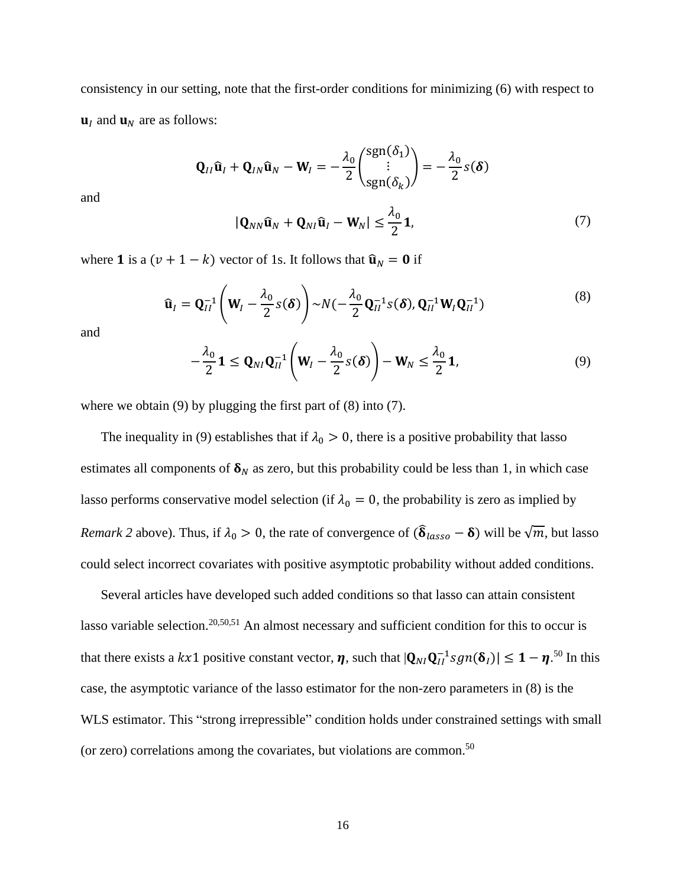consistency in our setting, note that the first-order conditions for minimizing (6) with respect to  $\mathbf{u}_I$  and  $\mathbf{u}_N$  are as follows:

$$
\mathbf{Q}_{II}\hat{\mathbf{u}}_I + \mathbf{Q}_{IN}\hat{\mathbf{u}}_N - \mathbf{W}_I = -\frac{\lambda_0}{2} \begin{pmatrix} \text{sgn}(\delta_1) \\ \vdots \\ \text{sgn}(\delta_k) \end{pmatrix} = -\frac{\lambda_0}{2} s(\delta)
$$

and

$$
|\mathbf{Q}_{NN}\hat{\mathbf{u}}_N + \mathbf{Q}_{NI}\hat{\mathbf{u}}_I - \mathbf{W}_N| \le \frac{\lambda_0}{2} \mathbf{1},\tag{7}
$$

where **1** is a  $(v + 1 - k)$  vector of 1s. It follows that  $\hat{\mathbf{u}}_N = \mathbf{0}$  if

$$
\widehat{\mathbf{u}}_I = \mathbf{Q}_{II}^{-1} \left( \mathbf{W}_I - \frac{\lambda_0}{2} S(\boldsymbol{\delta}) \right) \sim N \left( -\frac{\lambda_0}{2} \mathbf{Q}_{II}^{-1} S(\boldsymbol{\delta}), \mathbf{Q}_{II}^{-1} \mathbf{W}_I \mathbf{Q}_{II}^{-1} \right) \tag{8}
$$

and

$$
-\frac{\lambda_0}{2}\mathbf{1} \le \mathbf{Q}_{NI}\mathbf{Q}_{II}^{-1}\left(\mathbf{W}_I - \frac{\lambda_0}{2}s(\boldsymbol{\delta})\right) - \mathbf{W}_N \le \frac{\lambda_0}{2}\mathbf{1},\tag{9}
$$

where we obtain (9) by plugging the first part of (8) into (7).

The inequality in (9) establishes that if  $\lambda_0 > 0$ , there is a positive probability that lasso estimates all components of  $\delta_N$  as zero, but this probability could be less than 1, in which case lasso performs conservative model selection (if  $\lambda_0 = 0$ , the probability is zero as implied by *Remark 2* above). Thus, if  $\lambda_0 > 0$ , the rate of convergence of  $(\hat{\delta}_{lasso} - \delta)$  will be  $\sqrt{m}$ , but lasso could select incorrect covariates with positive asymptotic probability without added conditions.

Several articles have developed such added conditions so that lasso can attain consistent lasso variable selection.<sup>20,50,51</sup> An almost necessary and sufficient condition for this to occur is that there exists a  $kx1$  positive constant vector,  $\eta$ , such that  $|Q_{NI}Q_{II}^{-1}sgn(\delta_I)| \leq 1 - \eta^{50}$  In this case, the asymptotic variance of the lasso estimator for the non-zero parameters in (8) is the WLS estimator. This "strong irrepressible" condition holds under constrained settings with small (or zero) correlations among the covariates, but violations are common. 50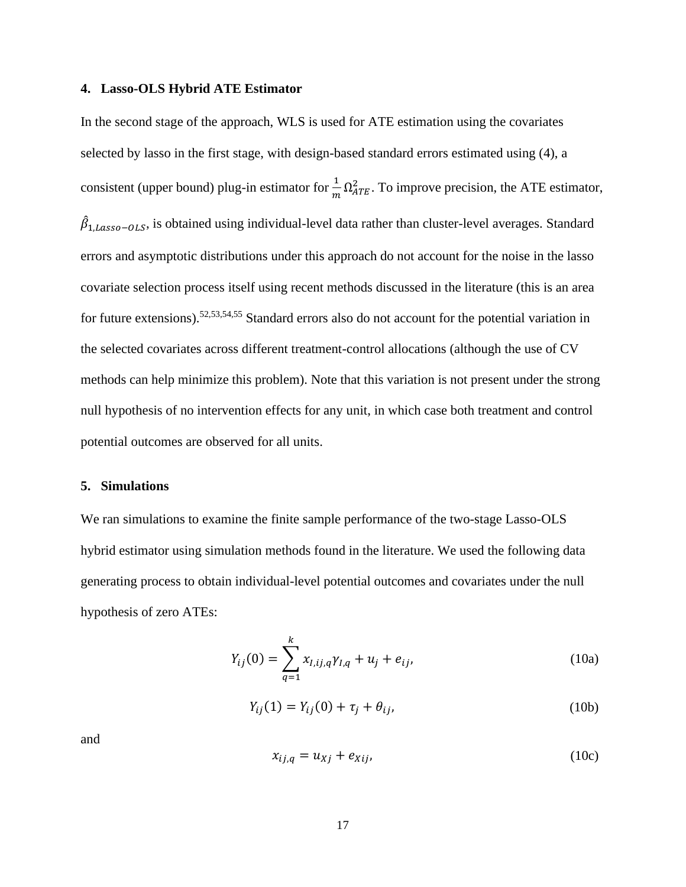#### **4. Lasso-OLS Hybrid ATE Estimator**

In the second stage of the approach, WLS is used for ATE estimation using the covariates selected by lasso in the first stage, with design-based standard errors estimated using (4), a consistent (upper bound) plug-in estimator for  $\frac{1}{m} \Omega_{ATE}^2$ . To improve precision, the ATE estimator,  $\hat{\beta}_{1,Lasso-OLS}$ , is obtained using individual-level data rather than cluster-level averages. Standard errors and asymptotic distributions under this approach do not account for the noise in the lasso covariate selection process itself using recent methods discussed in the literature (this is an area for future extensions). 52,53,54,55 Standard errors also do not account for the potential variation in the selected covariates across different treatment-control allocations (although the use of CV methods can help minimize this problem). Note that this variation is not present under the strong null hypothesis of no intervention effects for any unit, in which case both treatment and control potential outcomes are observed for all units.

#### **5. Simulations**

We ran simulations to examine the finite sample performance of the two-stage Lasso-OLS hybrid estimator using simulation methods found in the literature. We used the following data generating process to obtain individual-level potential outcomes and covariates under the null hypothesis of zero ATEs:

$$
Y_{ij}(0) = \sum_{q=1}^{k} x_{I,ij,q} \gamma_{I,q} + u_j + e_{ij},
$$
\n(10a)

$$
Y_{ij}(1) = Y_{ij}(0) + \tau_j + \theta_{ij},
$$
\n(10b)

and

$$
x_{ij,q} = u_{Xj} + e_{Xij}, \tag{10c}
$$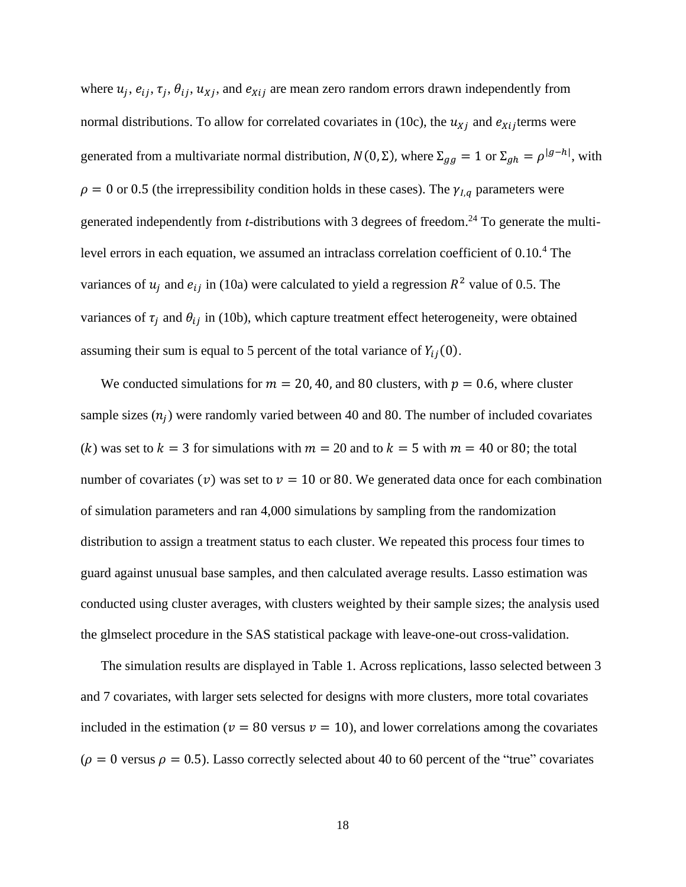where  $u_j$ ,  $e_{ij}$ ,  $\tau_j$ ,  $\theta_{ij}$ ,  $u_{Xj}$ , and  $e_{Xij}$  are mean zero random errors drawn independently from normal distributions. To allow for correlated covariates in (10c), the  $u_{X_i}$  and  $e_{X_i}$  terms were generated from a multivariate normal distribution,  $N(0, \Sigma)$ , where  $\Sigma_{gg} = 1$  or  $\Sigma_{gh} = \rho^{|g-h|}$ , with  $\rho = 0$  or 0.5 (the irrepressibility condition holds in these cases). The  $\gamma_{l,q}$  parameters were generated independently from *t*-distributions with 3 degrees of freedom. <sup>24</sup> To generate the multilevel errors in each equation, we assumed an intraclass correlation coefficient of 0.10.<sup>4</sup> The variances of  $u_j$  and  $e_{ij}$  in (10a) were calculated to yield a regression  $R^2$  value of 0.5. The variances of  $\tau_i$  and  $\theta_{ij}$  in (10b), which capture treatment effect heterogeneity, were obtained assuming their sum is equal to 5 percent of the total variance of  $Y_{ij}(0)$ .

We conducted simulations for  $m = 20, 40$ , and 80 clusters, with  $p = 0.6$ , where cluster sample sizes  $(n_j)$  were randomly varied between 40 and 80. The number of included covariates (k) was set to  $k = 3$  for simulations with  $m = 20$  and to  $k = 5$  with  $m = 40$  or 80; the total number of covariates (v) was set to  $v = 10$  or 80. We generated data once for each combination of simulation parameters and ran 4,000 simulations by sampling from the randomization distribution to assign a treatment status to each cluster. We repeated this process four times to guard against unusual base samples, and then calculated average results. Lasso estimation was conducted using cluster averages, with clusters weighted by their sample sizes; the analysis used the glmselect procedure in the SAS statistical package with leave-one-out cross-validation.

The simulation results are displayed in Table 1. Across replications, lasso selected between 3 and 7 covariates, with larger sets selected for designs with more clusters, more total covariates included in the estimation ( $v = 80$  versus  $v = 10$ ), and lower correlations among the covariates  $(\rho = 0$  versus  $\rho = 0.5$ ). Lasso correctly selected about 40 to 60 percent of the "true" covariates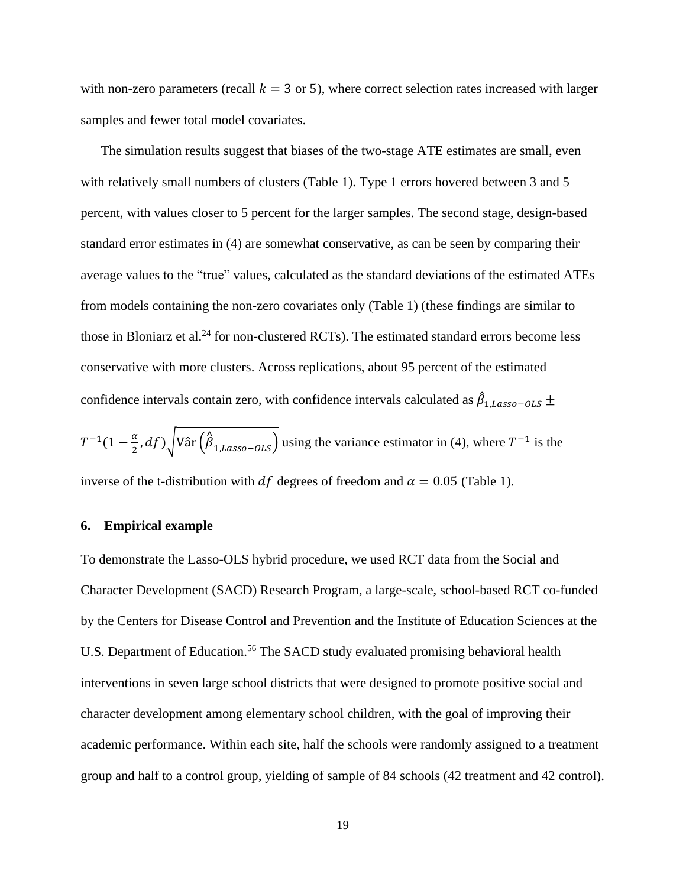with non-zero parameters (recall  $k = 3$  or 5), where correct selection rates increased with larger samples and fewer total model covariates.

The simulation results suggest that biases of the two-stage ATE estimates are small, even with relatively small numbers of clusters (Table 1). Type 1 errors hovered between 3 and 5 percent, with values closer to 5 percent for the larger samples. The second stage, design-based standard error estimates in (4) are somewhat conservative, as can be seen by comparing their average values to the "true" values, calculated as the standard deviations of the estimated ATEs from models containing the non-zero covariates only (Table 1) (these findings are similar to those in Bloniarz et al.<sup>24</sup> for non-clustered RCTs). The estimated standard errors become less conservative with more clusters. Across replications, about 95 percent of the estimated confidence intervals contain zero, with confidence intervals calculated as  $\hat{\beta}_{1,Lasso-OLS}$   $\pm$ 

 $T^{-1}(1-\frac{\alpha}{2})$  $\frac{\alpha}{2}$ , df)  $\sqrt{\text{Var}(\hat{\beta}_{1,Lasso-OLS})}$  using the variance estimator in (4), where  $T^{-1}$  is the inverse of the t-distribution with df degrees of freedom and  $\alpha = 0.05$  (Table 1).

#### **6. Empirical example**

To demonstrate the Lasso-OLS hybrid procedure, we used RCT data from the Social and Character Development (SACD) Research Program, a large-scale, school-based RCT co-funded by the Centers for Disease Control and Prevention and the Institute of Education Sciences at the U.S. Department of Education.<sup>56</sup> The SACD study evaluated promising behavioral health interventions in seven large school districts that were designed to promote positive social and character development among elementary school children, with the goal of improving their academic performance. Within each site, half the schools were randomly assigned to a treatment group and half to a control group, yielding of sample of 84 schools (42 treatment and 42 control).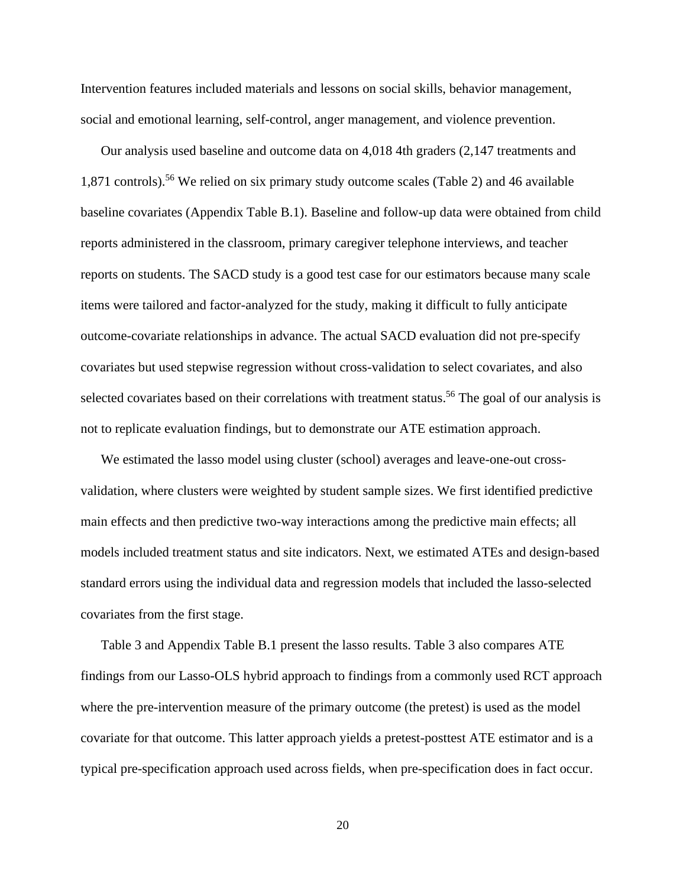Intervention features included materials and lessons on social skills, behavior management, social and emotional learning, self-control, anger management, and violence prevention.

Our analysis used baseline and outcome data on 4,018 4th graders (2,147 treatments and 1,871 controls). <sup>56</sup> We relied on six primary study outcome scales (Table 2) and 46 available baseline covariates (Appendix Table B.1). Baseline and follow-up data were obtained from child reports administered in the classroom, primary caregiver telephone interviews, and teacher reports on students. The SACD study is a good test case for our estimators because many scale items were tailored and factor-analyzed for the study, making it difficult to fully anticipate outcome-covariate relationships in advance. The actual SACD evaluation did not pre-specify covariates but used stepwise regression without cross-validation to select covariates, and also selected covariates based on their correlations with treatment status.<sup>56</sup> The goal of our analysis is not to replicate evaluation findings, but to demonstrate our ATE estimation approach.

We estimated the lasso model using cluster (school) averages and leave-one-out crossvalidation, where clusters were weighted by student sample sizes. We first identified predictive main effects and then predictive two-way interactions among the predictive main effects; all models included treatment status and site indicators. Next, we estimated ATEs and design-based standard errors using the individual data and regression models that included the lasso-selected covariates from the first stage.

Table 3 and Appendix Table B.1 present the lasso results. Table 3 also compares ATE findings from our Lasso-OLS hybrid approach to findings from a commonly used RCT approach where the pre-intervention measure of the primary outcome (the pretest) is used as the model covariate for that outcome. This latter approach yields a pretest-posttest ATE estimator and is a typical pre-specification approach used across fields, when pre-specification does in fact occur.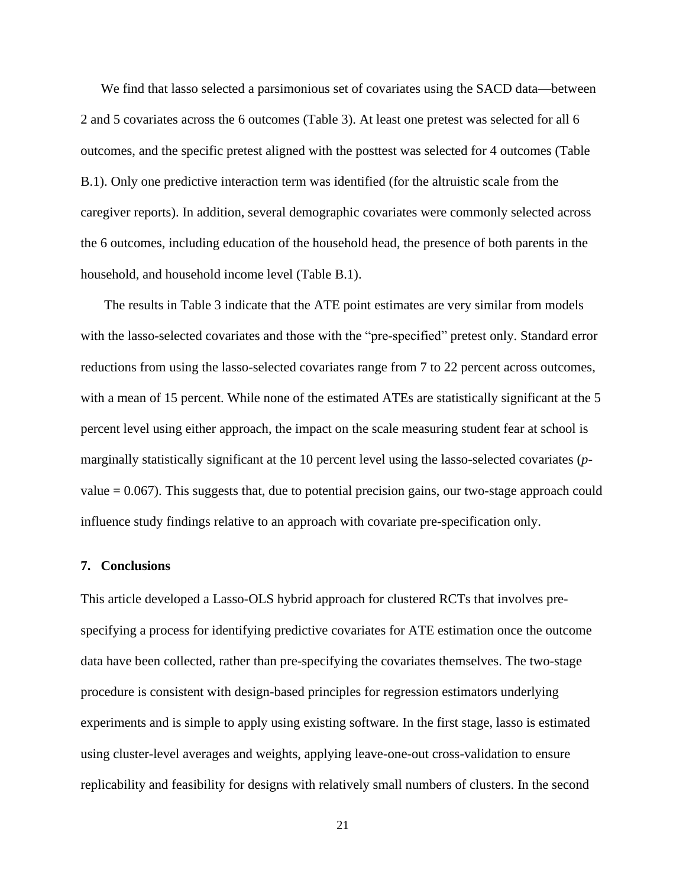We find that lasso selected a parsimonious set of covariates using the SACD data—between 2 and 5 covariates across the 6 outcomes (Table 3). At least one pretest was selected for all 6 outcomes, and the specific pretest aligned with the posttest was selected for 4 outcomes (Table B.1). Only one predictive interaction term was identified (for the altruistic scale from the caregiver reports). In addition, several demographic covariates were commonly selected across the 6 outcomes, including education of the household head, the presence of both parents in the household, and household income level (Table B.1).

The results in Table 3 indicate that the ATE point estimates are very similar from models with the lasso-selected covariates and those with the "pre-specified" pretest only. Standard error reductions from using the lasso-selected covariates range from 7 to 22 percent across outcomes, with a mean of 15 percent. While none of the estimated ATEs are statistically significant at the 5 percent level using either approach, the impact on the scale measuring student fear at school is marginally statistically significant at the 10 percent level using the lasso-selected covariates (*p*value  $= 0.067$ ). This suggests that, due to potential precision gains, our two-stage approach could influence study findings relative to an approach with covariate pre-specification only.

## **7. Conclusions**

This article developed a Lasso-OLS hybrid approach for clustered RCTs that involves prespecifying a process for identifying predictive covariates for ATE estimation once the outcome data have been collected, rather than pre-specifying the covariates themselves. The two-stage procedure is consistent with design-based principles for regression estimators underlying experiments and is simple to apply using existing software. In the first stage, lasso is estimated using cluster-level averages and weights, applying leave-one-out cross-validation to ensure replicability and feasibility for designs with relatively small numbers of clusters. In the second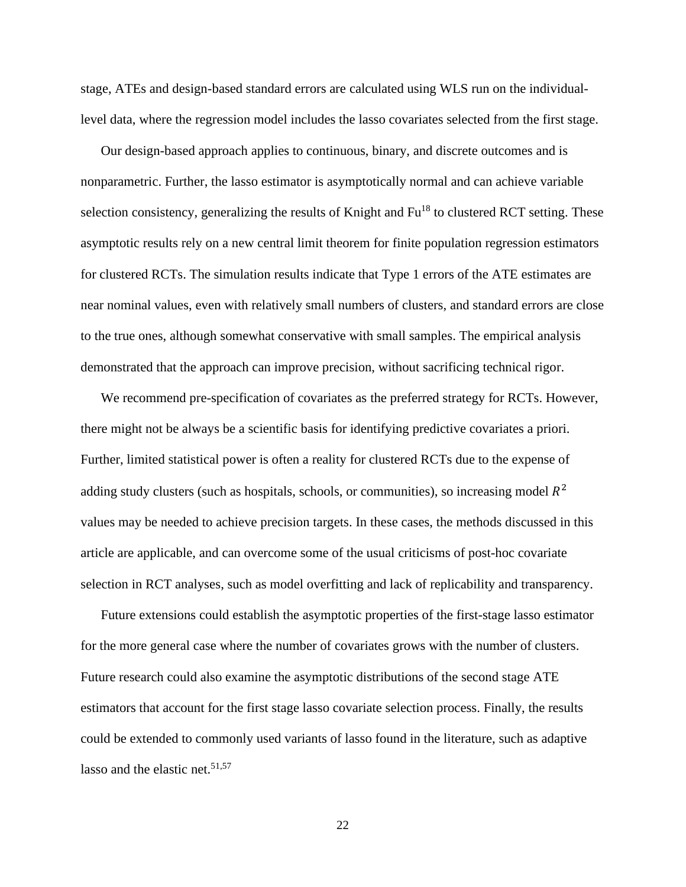stage, ATEs and design-based standard errors are calculated using WLS run on the individuallevel data, where the regression model includes the lasso covariates selected from the first stage.

Our design-based approach applies to continuous, binary, and discrete outcomes and is nonparametric. Further, the lasso estimator is asymptotically normal and can achieve variable selection consistency, generalizing the results of Knight and  $Fu^{18}$  to clustered RCT setting. These asymptotic results rely on a new central limit theorem for finite population regression estimators for clustered RCTs. The simulation results indicate that Type 1 errors of the ATE estimates are near nominal values, even with relatively small numbers of clusters, and standard errors are close to the true ones, although somewhat conservative with small samples. The empirical analysis demonstrated that the approach can improve precision, without sacrificing technical rigor.

We recommend pre-specification of covariates as the preferred strategy for RCTs. However, there might not be always be a scientific basis for identifying predictive covariates a priori. Further, limited statistical power is often a reality for clustered RCTs due to the expense of adding study clusters (such as hospitals, schools, or communities), so increasing model  $R^2$ values may be needed to achieve precision targets. In these cases, the methods discussed in this article are applicable, and can overcome some of the usual criticisms of post-hoc covariate selection in RCT analyses, such as model overfitting and lack of replicability and transparency.

Future extensions could establish the asymptotic properties of the first-stage lasso estimator for the more general case where the number of covariates grows with the number of clusters. Future research could also examine the asymptotic distributions of the second stage ATE estimators that account for the first stage lasso covariate selection process. Finally, the results could be extended to commonly used variants of lasso found in the literature, such as adaptive lasso and the elastic net.  $51,57$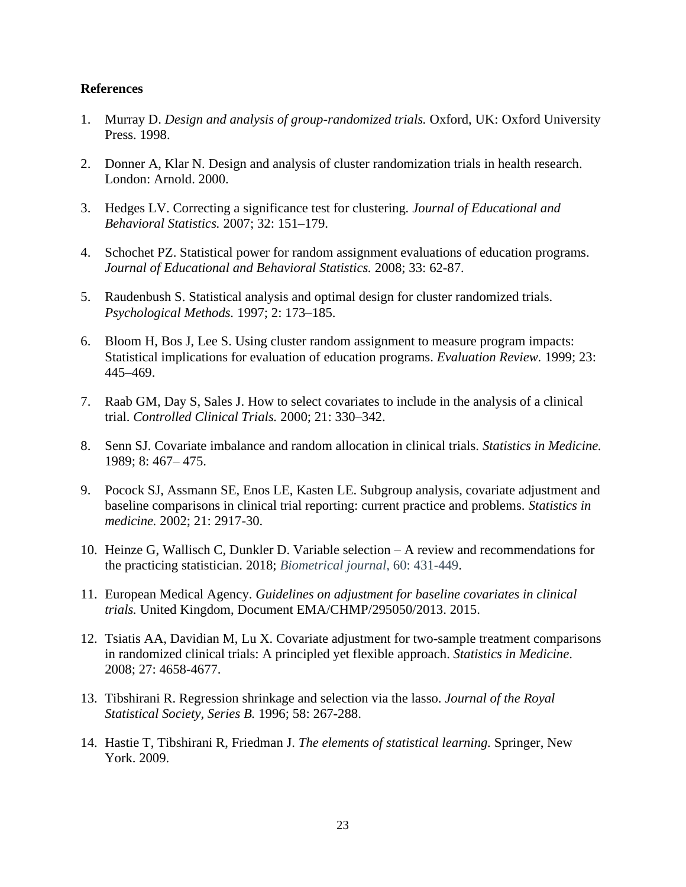# **References**

- 1. Murray D. *Design and analysis of group-randomized trials.* Oxford, UK: Oxford University Press. 1998.
- 2. Donner A, Klar N. Design and analysis of cluster randomization trials in health research. London: Arnold. 2000.
- 3. Hedges LV. Correcting a significance test for clustering*. Journal of Educational and Behavioral Statistics.* 2007; 32: 151–179.
- 4. Schochet PZ. Statistical power for random assignment evaluations of education programs. *Journal of Educational and Behavioral Statistics.* 2008; 33: 62-87.
- 5. Raudenbush S. Statistical analysis and optimal design for cluster randomized trials. *Psychological Methods.* 1997; 2: 173–185.
- 6. Bloom H, Bos J, Lee S. Using cluster random assignment to measure program impacts: Statistical implications for evaluation of education programs. *Evaluation Review.* 1999; 23: 445–469.
- 7. Raab GM, Day S, Sales J. How to select covariates to include in the analysis of a clinical trial. *Controlled Clinical Trials.* 2000; 21: 330–342.
- 8. Senn SJ. Covariate imbalance and random allocation in clinical trials. *Statistics in Medicine.* 1989; 8: 467– 475.
- 9. Pocock SJ, Assmann SE, Enos LE, Kasten LE. Subgroup analysis, covariate adjustment and baseline comparisons in clinical trial reporting: current practice and problems. *Statistics in medicine.* 2002; 21: 2917-30.
- 10. Heinze G, Wallisch C, Dunkler D. Variable selection A review and recommendations for the practicing statistician. 2018; *Biometrical journal,* 60: 431-449.
- 11. European Medical Agency. *Guidelines on adjustment for baseline covariates in clinical trials.* United Kingdom, Document EMA/CHMP/295050/2013. 2015.
- 12. Tsiatis AA, Davidian M, Lu X. Covariate adjustment for two-sample treatment comparisons in randomized clinical trials: A principled yet flexible approach. *Statistics in Medicine*. 2008; 27: 4658-4677.
- 13. Tibshirani R. Regression shrinkage and selection via the lasso. *Journal of the Royal Statistical Society, Series B.* 1996; 58: 267-288.
- 14. Hastie T, Tibshirani R, Friedman J. *The elements of statistical learning.* Springer, New York. 2009.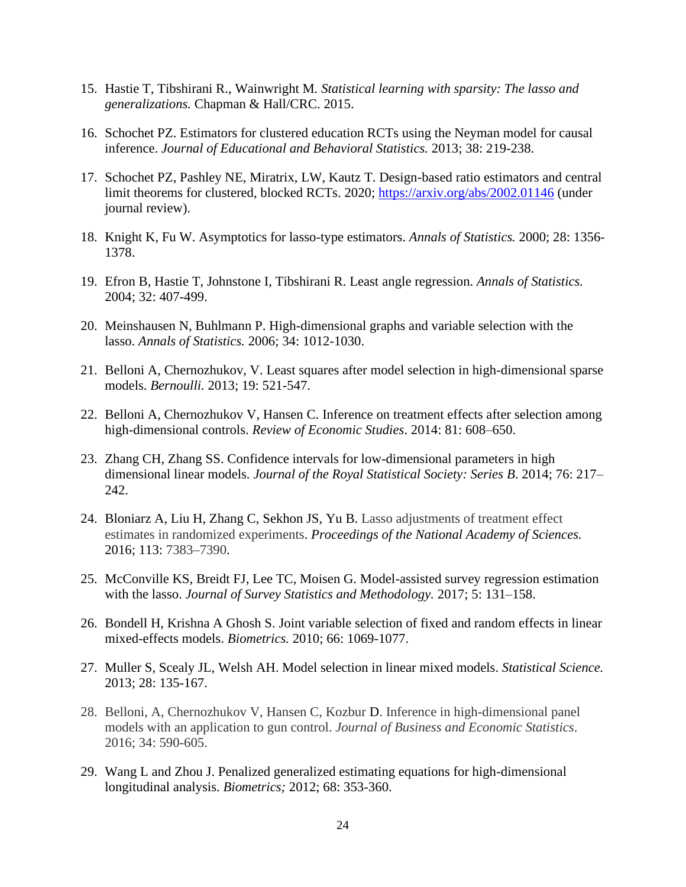- 15. Hastie T, Tibshirani R., Wainwright M*. Statistical learning with sparsity: The lasso and generalizations.* Chapman & Hall/CRC. 2015.
- 16. Schochet PZ. Estimators for clustered education RCTs using the Neyman model for causal inference. *Journal of Educational and Behavioral Statistics.* 2013; 38: 219-238.
- 17. Schochet PZ, Pashley NE, Miratrix, LW, Kautz T. Design-based ratio estimators and central limit theorems for clustered, blocked RCTs. 2020; <https://arxiv.org/abs/2002.01146> (under journal review).
- 18. Knight K, Fu W. Asymptotics for lasso-type estimators. *Annals of Statistics.* 2000; 28: 1356- 1378.
- 19. Efron B, Hastie T, Johnstone I, Tibshirani R. Least angle regression. *Annals of Statistics.* 2004; 32: 407-499.
- 20. Meinshausen N, Buhlmann P. High-dimensional graphs and variable selection with the lasso. *Annals of Statistics.* 2006; 34: 1012-1030.
- 21. Belloni A, Chernozhukov, V. Least squares after model selection in high-dimensional sparse models. *Bernoulli.* 2013; 19: 521-547.
- 22. Belloni A, Chernozhukov V, Hansen C. Inference on treatment effects after selection among high-dimensional controls. *Review of Economic Studies*. 2014: 81: 608–650.
- 23. Zhang CH, Zhang SS. Confidence intervals for low-dimensional parameters in high dimensional linear models. *Journal of the Royal Statistical Society: Series B*. 2014; 76: 217– 242.
- 24. Bloniarz A, Liu H, Zhang C, Sekhon JS, Yu B. Lasso adjustments of treatment effect estimates in randomized experiments. *Proceedings of the National Academy of Sciences.* 2016; 113: 7383–7390.
- 25. McConville KS, Breidt FJ, Lee TC, Moisen G. Model-assisted survey regression estimation with the lasso. *Journal of Survey Statistics and Methodology.* 2017; 5: 131–158.
- 26. Bondell H, Krishna A Ghosh S. Joint variable selection of fixed and random effects in linear mixed-effects models. *Biometrics.* 2010; 66: 1069-1077.
- 27. Muller S, Scealy JL, Welsh AH. Model selection in linear mixed models. *Statistical Science.* 2013; 28: 135-167.
- 28. Belloni, A, Chernozhukov V, Hansen C, Kozbur D. Inference in high-dimensional panel models with an application to gun control. *Journal of Business and Economic Statistics*. 2016; 34: 590-605.
- 29. Wang L and Zhou J. Penalized generalized estimating equations for high-dimensional longitudinal analysis. *Biometrics;* 2012; 68: 353-360.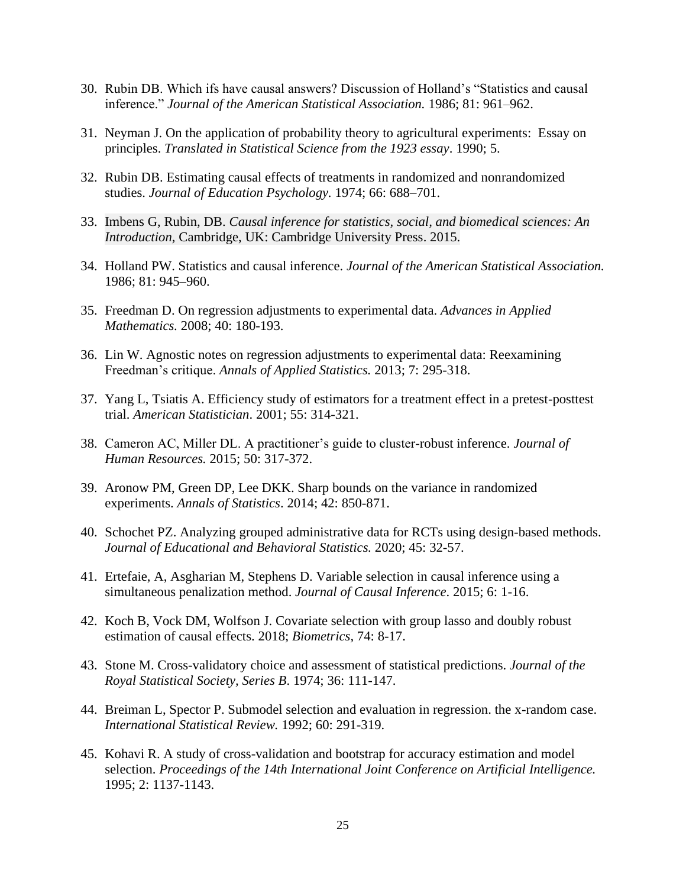- 30. Rubin DB. Which ifs have causal answers? Discussion of Holland's "Statistics and causal inference." *Journal of the American Statistical Association.* 1986; 81: 961–962.
- 31. Neyman J. On the application of probability theory to agricultural experiments: Essay on principles. *Translated in Statistical Science from the 1923 essay*. 1990; 5.
- 32. Rubin DB. Estimating causal effects of treatments in randomized and nonrandomized studies. *Journal of Education Psychology.* 1974; 66: 688–701.
- 33. Imbens G, Rubin, DB. *Causal inference for statistics, social, and biomedical sciences: An Introduction*, Cambridge, UK: Cambridge University Press. 2015.
- 34. Holland PW. Statistics and causal inference. *Journal of the American Statistical Association.* 1986; 81: 945–960.
- 35. Freedman D. On regression adjustments to experimental data. *Advances in Applied Mathematics.* 2008; 40: 180-193.
- 36. Lin W. Agnostic notes on regression adjustments to experimental data: Reexamining Freedman's critique. *Annals of Applied Statistics.* 2013; 7: 295-318.
- 37. Yang L, Tsiatis A. Efficiency study of estimators for a treatment effect in a pretest-posttest trial. *American Statistician*. 2001; 55: 314-321.
- 38. Cameron AC, Miller DL. A practitioner's guide to cluster-robust inference. *Journal of Human Resources.* 2015; 50: 317-372.
- 39. Aronow PM, Green DP, Lee DKK. Sharp bounds on the variance in randomized experiments. *Annals of Statistics*. 2014; 42: 850-871.
- 40. Schochet PZ. Analyzing grouped administrative data for RCTs using design-based methods. *Journal of Educational and Behavioral Statistics.* 2020; 45: 32-57.
- 41. Ertefaie, A, Asgharian M, Stephens D. Variable selection in causal inference using a simultaneous penalization method. *Journal of Causal Inference*. 2015; 6: 1-16.
- 42. Koch B, Vock DM, Wolfson J. Covariate selection with group lasso and doubly robust estimation of causal effects. 2018; *Biometrics,* 74: 8-17.
- 43. Stone M. Cross-validatory choice and assessment of statistical predictions. *Journal of the Royal Statistical Society, Series B*. 1974; 36: 111-147.
- 44. Breiman L, Spector P. Submodel selection and evaluation in regression. the x-random case. *International Statistical Review.* 1992; 60: 291-319.
- 45. Kohavi R. A study of cross-validation and bootstrap for accuracy estimation and model selection. *Proceedings of the 14th International Joint Conference on Artificial Intelligence.* 1995; 2: 1137-1143.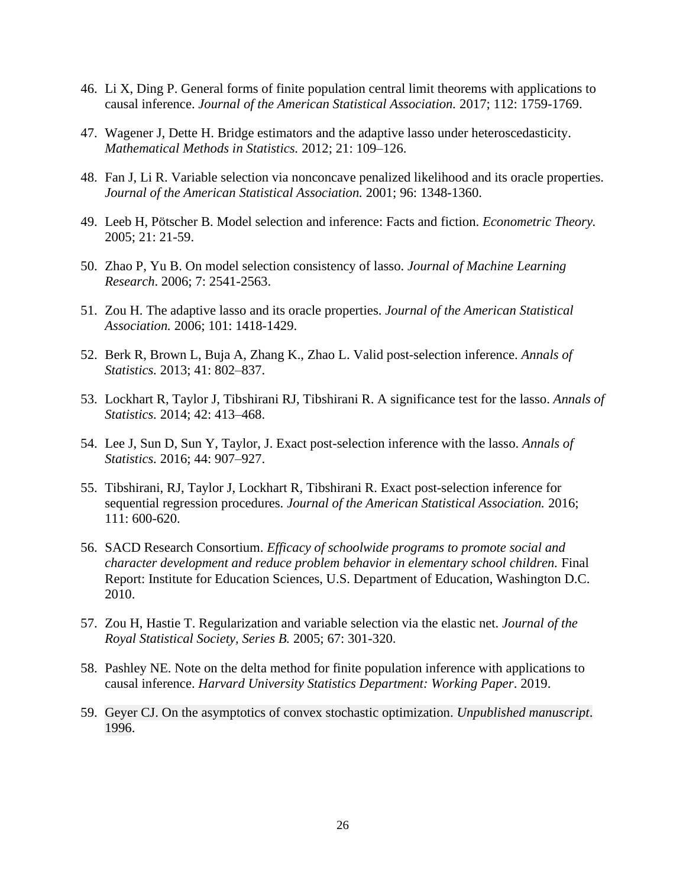- 46. Li X, Ding P. General forms of finite population central limit theorems with applications to causal inference. *Journal of the American Statistical Association.* 2017; 112: 1759-1769.
- 47. Wagener J, Dette H. Bridge estimators and the adaptive lasso under heteroscedasticity. *Mathematical Methods in Statistics.* 2012; 21: 109–126.
- 48. Fan J, Li R. Variable selection via nonconcave penalized likelihood and its oracle properties. *Journal of the American Statistical Association.* 2001; 96: 1348-1360.
- 49. Leeb H, Pötscher B. Model selection and inference: Facts and fiction. *Econometric Theory.* 2005; 21: 21-59.
- 50. Zhao P, Yu B. On model selection consistency of lasso. *Journal of Machine Learning Research*. 2006; 7: 2541-2563.
- 51. Zou H. The adaptive lasso and its oracle properties. *Journal of the American Statistical Association.* 2006; 101: 1418-1429.
- 52. Berk R, Brown L, Buja A, Zhang K., Zhao L. Valid post-selection inference. *Annals of Statistics.* 2013; 41: 802–837.
- 53. Lockhart R, Taylor J, Tibshirani RJ, Tibshirani R. A significance test for the lasso. *Annals of Statistics.* 2014; 42: 413–468.
- 54. Lee J, Sun D, Sun Y, Taylor, J. Exact post-selection inference with the lasso. *Annals of Statistics.* 2016; 44: 907–927.
- 55. Tibshirani, RJ, Taylor J, Lockhart R, Tibshirani R. Exact post-selection inference for sequential regression procedures. *Journal of the American Statistical Association.* 2016; 111: 600-620.
- 56. SACD Research Consortium. *Efficacy of schoolwide programs to promote social and character development and reduce problem behavior in elementary school children.* Final Report: Institute for Education Sciences, U.S. Department of Education, Washington D.C. 2010.
- 57. Zou H, Hastie T. Regularization and variable selection via the elastic net. *Journal of the Royal Statistical Society, Series B.* 2005; 67: 301-320.
- 58. Pashley NE. Note on the delta method for finite population inference with applications to causal inference. *Harvard University Statistics Department: Working Paper*. 2019.
- 59. Geyer CJ. On the asymptotics of convex stochastic optimization. *Unpublished manuscript*. 1996.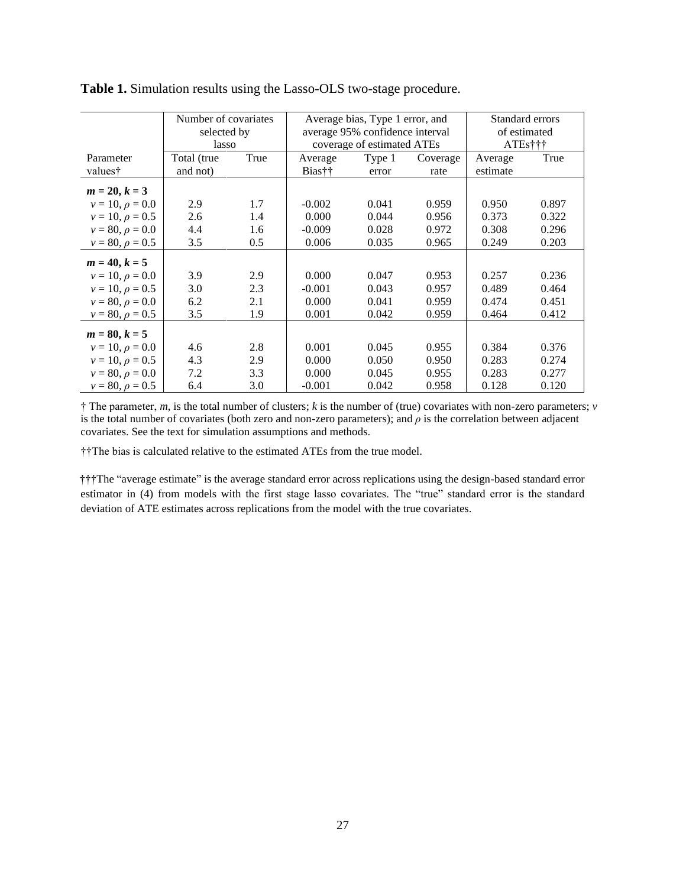|                      | Number of covariates |      | Average bias, Type 1 error, and |        |          | Standard errors |       |
|----------------------|----------------------|------|---------------------------------|--------|----------|-----------------|-------|
|                      | selected by          |      | average 95% confidence interval |        |          | of estimated    |       |
|                      | lasso                |      | coverage of estimated ATEs      |        |          | ATEs†††         |       |
| Parameter            | Total (true          | True | Average                         | Type 1 | Coverage | Average         | True  |
| values†              | and not)             |      | Bias††                          | error  | rate     | estimate        |       |
| $m = 20, k = 3$      |                      |      |                                 |        |          |                 |       |
| $v = 10, \rho = 0.0$ | 2.9                  | 1.7  | $-0.002$                        | 0.041  | 0.959    | 0.950           | 0.897 |
| $v = 10, \rho = 0.5$ | 2.6                  | 1.4  | 0.000                           | 0.044  | 0.956    | 0.373           | 0.322 |
| $v = 80, \rho = 0.0$ | 4.4                  | 1.6  | $-0.009$                        | 0.028  | 0.972    | 0.308           | 0.296 |
| $v = 80, \rho = 0.5$ | 3.5                  | 0.5  | 0.006                           | 0.035  | 0.965    | 0.249           | 0.203 |
| $m = 40, k = 5$      |                      |      |                                 |        |          |                 |       |
| $v = 10, \rho = 0.0$ | 3.9                  | 2.9  | 0.000                           | 0.047  | 0.953    | 0.257           | 0.236 |
| $v = 10, \rho = 0.5$ | 3.0                  | 2.3  | $-0.001$                        | 0.043  | 0.957    | 0.489           | 0.464 |
| $v = 80, \rho = 0.0$ | 6.2                  | 2.1  | 0.000                           | 0.041  | 0.959    | 0.474           | 0.451 |
| $v = 80, \rho = 0.5$ | 3.5                  | 1.9  | 0.001                           | 0.042  | 0.959    | 0.464           | 0.412 |
| $m = 80, k = 5$      |                      |      |                                 |        |          |                 |       |
| $v = 10, \rho = 0.0$ | 4.6                  | 2.8  | 0.001                           | 0.045  | 0.955    | 0.384           | 0.376 |
| $v = 10, \rho = 0.5$ | 4.3                  | 2.9  | 0.000                           | 0.050  | 0.950    | 0.283           | 0.274 |
| $v = 80, \rho = 0.0$ | 7.2                  | 3.3  | 0.000                           | 0.045  | 0.955    | 0.283           | 0.277 |
| $v = 80, \rho = 0.5$ | 6.4                  | 3.0  | $-0.001$                        | 0.042  | 0.958    | 0.128           | 0.120 |

**Table 1.** Simulation results using the Lasso-OLS two-stage procedure.

† The parameter, *m*, is the total number of clusters; *k* is the number of (true) covariates with non-zero parameters; *v* is the total number of covariates (both zero and non-zero parameters); and  $\rho$  is the correlation between adjacent covariates. See the text for simulation assumptions and methods.

††The bias is calculated relative to the estimated ATEs from the true model.

†††The "average estimate" is the average standard error across replications using the design-based standard error estimator in (4) from models with the first stage lasso covariates. The "true" standard error is the standard deviation of ATE estimates across replications from the model with the true covariates.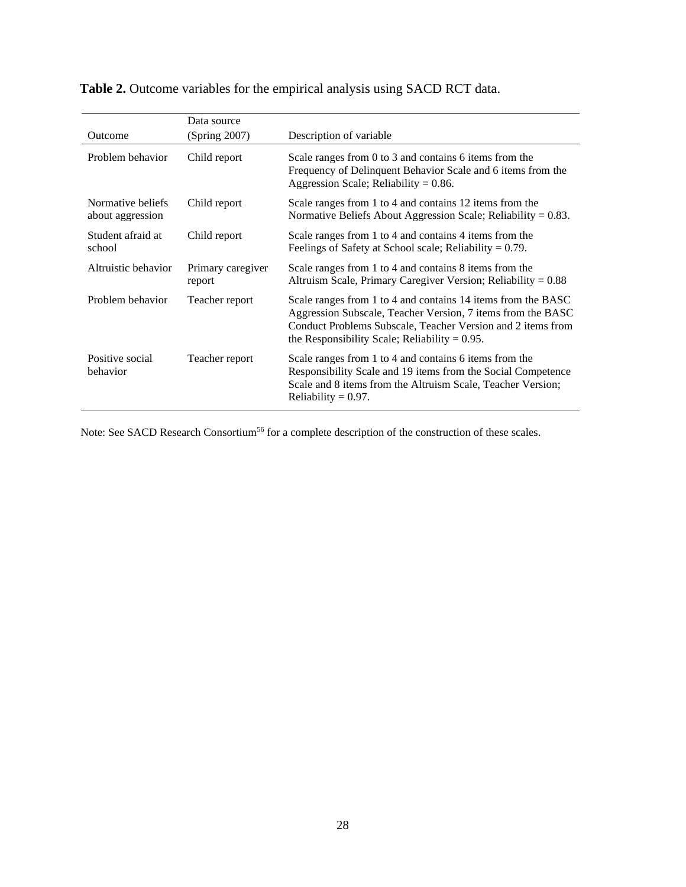|                                       | Data source                 |                                                                                                                                                                                                                                                |
|---------------------------------------|-----------------------------|------------------------------------------------------------------------------------------------------------------------------------------------------------------------------------------------------------------------------------------------|
| Outcome                               | (Spring 2007)               | Description of variable                                                                                                                                                                                                                        |
| Problem behavior                      | Child report                | Scale ranges from 0 to 3 and contains 6 items from the<br>Frequency of Delinquent Behavior Scale and 6 items from the<br>Aggression Scale; Reliability = $0.86$ .                                                                              |
| Normative beliefs<br>about aggression | Child report                | Scale ranges from 1 to 4 and contains 12 items from the<br>Normative Beliefs About Aggression Scale; Reliability = $0.83$ .                                                                                                                    |
| Student afraid at<br>school           | Child report                | Scale ranges from 1 to 4 and contains 4 items from the<br>Feelings of Safety at School scale; Reliability $= 0.79$ .                                                                                                                           |
| Altruistic behavior                   | Primary caregiver<br>report | Scale ranges from 1 to 4 and contains 8 items from the<br>Altruism Scale, Primary Caregiver Version; Reliability = $0.88$                                                                                                                      |
| Problem behavior                      | Teacher report              | Scale ranges from 1 to 4 and contains 14 items from the BASC<br>Aggression Subscale, Teacher Version, 7 items from the BASC<br>Conduct Problems Subscale, Teacher Version and 2 items from<br>the Responsibility Scale; Reliability $= 0.95$ . |
| Positive social<br>behavior           | Teacher report              | Scale ranges from 1 to 4 and contains 6 items from the<br>Responsibility Scale and 19 items from the Social Competence<br>Scale and 8 items from the Altruism Scale, Teacher Version;<br>Reliability = $0.97$ .                                |

**Table 2.** Outcome variables for the empirical analysis using SACD RCT data.

Note: See SACD Research Consortium<sup>56</sup> for a complete description of the construction of these scales.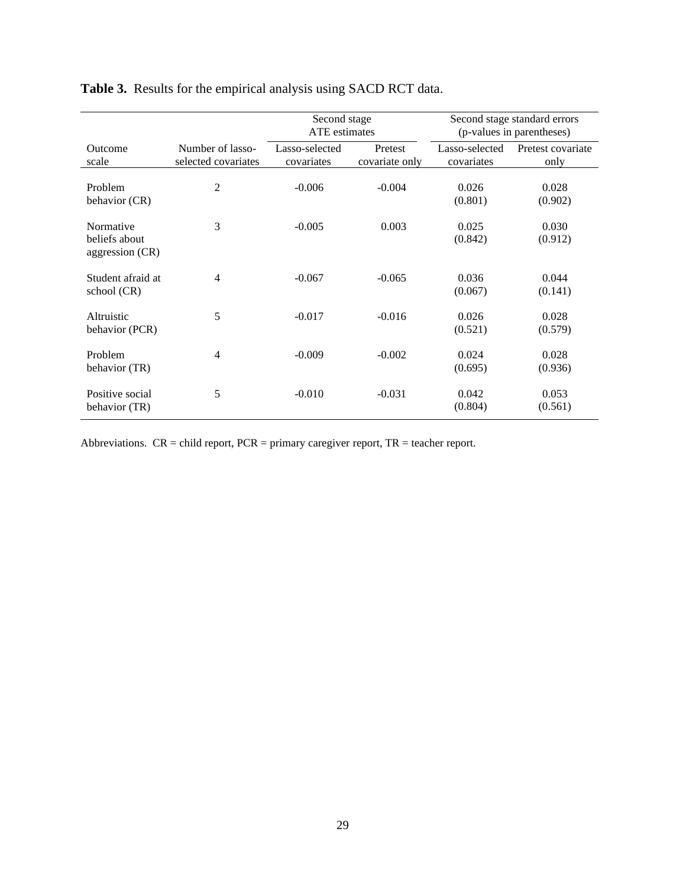|                                               |                                         | Second stage<br>ATE estimates |                           | Second stage standard errors<br>(p-values in parentheses) |                           |
|-----------------------------------------------|-----------------------------------------|-------------------------------|---------------------------|-----------------------------------------------------------|---------------------------|
| Outcome<br>scale                              | Number of lasso-<br>selected covariates | Lasso-selected<br>covariates  | Pretest<br>covariate only | Lasso-selected<br>covariates                              | Pretest covariate<br>only |
| Problem<br>behavior (CR)                      | $\overline{2}$                          | $-0.006$                      | $-0.004$                  | 0.026<br>(0.801)                                          | 0.028<br>(0.902)          |
| Normative<br>beliefs about<br>aggression (CR) | 3                                       | $-0.005$                      | 0.003                     | 0.025<br>(0.842)                                          | 0.030<br>(0.912)          |
| Student afraid at<br>school (CR)              | $\overline{4}$                          | $-0.067$                      | $-0.065$                  | 0.036<br>(0.067)                                          | 0.044<br>(0.141)          |
| Altruistic<br>behavior (PCR)                  | 5                                       | $-0.017$                      | $-0.016$                  | 0.026<br>(0.521)                                          | 0.028<br>(0.579)          |
| Problem<br>behavior (TR)                      | $\overline{4}$                          | $-0.009$                      | $-0.002$                  | 0.024<br>(0.695)                                          | 0.028<br>(0.936)          |
| Positive social<br>behavior (TR)              | 5                                       | $-0.010$                      | $-0.031$                  | 0.042<br>(0.804)                                          | 0.053<br>(0.561)          |

**Table 3.** Results for the empirical analysis using SACD RCT data.

Abbreviations.  $CR = child$  report,  $PCR = primary$  caregiver report,  $TR = teacher$  report.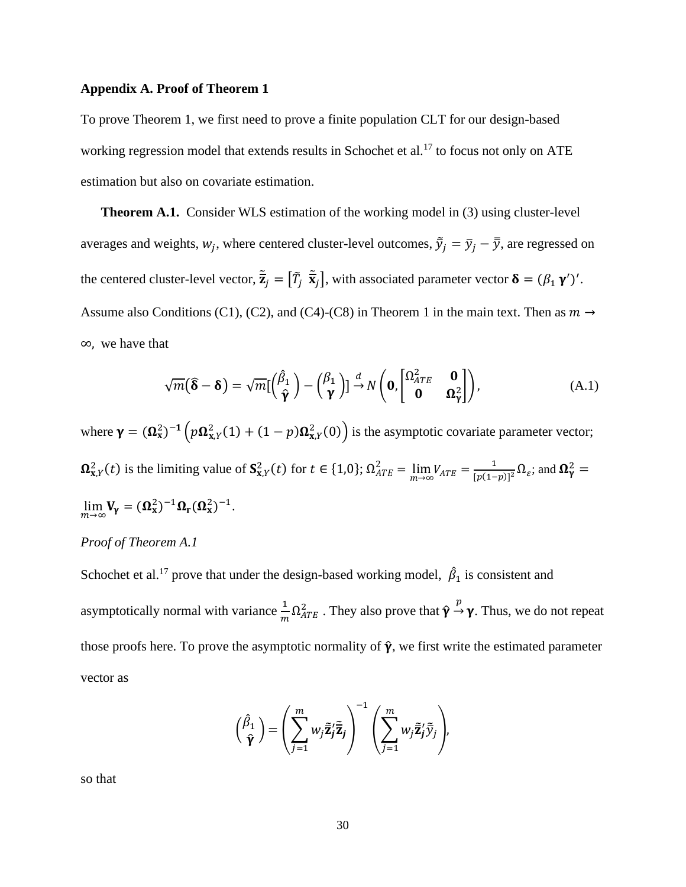## **Appendix A. Proof of Theorem 1**

To prove Theorem 1, we first need to prove a finite population CLT for our design-based working regression model that extends results in Schochet et al.<sup>17</sup> to focus not only on ATE estimation but also on covariate estimation.

**Theorem A.1.** Consider WLS estimation of the working model in (3) using cluster-level averages and weights,  $w_j$ , where centered cluster-level outcomes,  $\tilde{\bar{y}}_j = \bar{y}_j - \bar{\bar{y}}$ , are regressed on the centered cluster-level vector,  $\tilde{\vec{z}}_j = [\tilde{T}_j \ \tilde{\vec{x}}_j]$ , with associated parameter vector  $\delta = (\beta_1 \gamma')'$ . Assume also Conditions (C1), (C2), and (C4)-(C8) in Theorem 1 in the main text. Then as  $m \rightarrow$ ∞, we have that

$$
\sqrt{m}(\hat{\boldsymbol{\delta}} - \boldsymbol{\delta}) = \sqrt{m}[(\frac{\hat{\beta}_1}{\hat{\gamma}}) - (\frac{\beta_1}{\gamma})] \stackrel{d}{\rightarrow} N\left(\mathbf{0}, \begin{bmatrix} \Omega_{ATE}^2 & \mathbf{0} \\ \mathbf{0} & \Omega_{\gamma}^2 \end{bmatrix}\right), \tag{A.1}
$$

where  $\gamma = (\Omega_x^2)^{-1} \left( p \Omega_{x, Y}^2(1) + (1 - p) \Omega_{x, Y}^2(0) \right)$  is the asymptotic covariate parameter vector;  $\Omega_{X,Y}^2(t)$  is the limiting value of  $S_{X,Y}^2(t)$  for  $t \in \{1,0\}$ ;  $\Omega_{ATE}^2 = \lim_{m \to \infty} V_{ATE} = \frac{1}{p(1-p)}$  $\frac{1}{(p(1-p))^2} \Omega_{\varepsilon}$ ; and  $\Omega_{\gamma}^2$  =  $\lim_{m\to\infty} V_{\gamma} = (\Omega_x^2)^{-1} \Omega_{\rm r} (\Omega_x^2)^{-1}.$ 

# *Proof of Theorem A.1*

Schochet et al.<sup>17</sup> prove that under the design-based working model,  $\hat{\beta}_1$  is consistent and asymptotically normal with variance  $\frac{1}{m}\Omega_{ATE}^2$ . They also prove that  $\hat{\gamma} \to \gamma$ . Thus, we do not repeat those proofs here. To prove the asymptotic normality of  $\hat{\gamma}$ , we first write the estimated parameter vector as

$$
\begin{pmatrix} \hat{\beta}_1 \\ \hat{\mathbf{y}} \end{pmatrix} = \left( \sum_{j=1}^m w_j \tilde{\mathbf{z}}_j' \tilde{\mathbf{z}}_j \right)^{-1} \left( \sum_{j=1}^m w_j \tilde{\mathbf{z}}_j' \tilde{\mathbf{y}}_j \right),
$$

so that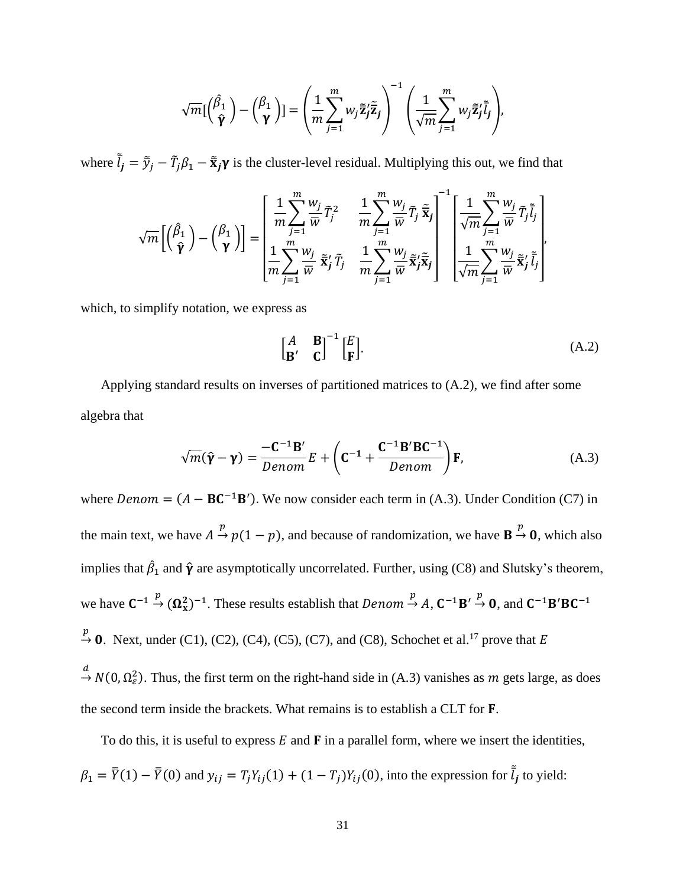$$
\sqrt{m}[\begin{pmatrix} \hat{\beta}_1 \\ \hat{\mathbf{y}} \end{pmatrix} - \begin{pmatrix} \beta_1 \\ \mathbf{y} \end{pmatrix}] = \left(\frac{1}{m} \sum_{j=1}^m w_j \tilde{\mathbf{z}}_j' \tilde{\mathbf{z}}_j\right)^{-1} \left(\frac{1}{\sqrt{m}} \sum_{j=1}^m w_j \tilde{\mathbf{z}}_j' \tilde{\mathbf{l}}_j\right),
$$

where  $\tilde{l}_j = \tilde{y}_j - \tilde{T}_j \beta_1 - \tilde{x}_j \gamma$  is the cluster-level residual. Multiplying this out, we find that

$$
\sqrt{m}\left[\begin{pmatrix} \hat{\beta}_1 \\ \hat{\mathbf{\gamma}} \end{pmatrix} - \begin{pmatrix} \beta_1 \\ \mathbf{\gamma} \end{pmatrix} \right] = \begin{bmatrix} \frac{1}{m} \sum_{j=1}^m \frac{w_j}{\bar{w}} \tilde{T}_j^2 & \frac{1}{m} \sum_{j=1}^m \frac{w_j}{\bar{w}} \tilde{T}_j \tilde{\bar{\mathbf{x}}}_j \\ \frac{1}{m} \sum_{j=1}^m \frac{w_j}{\bar{w}} \tilde{\bar{\mathbf{x}}}_j^2 \tilde{T}_j & \frac{1}{m} \sum_{j=1}^m \frac{w_j}{\bar{w}} \tilde{\bar{\mathbf{x}}}_j^2 \tilde{\bar{\mathbf{x}}}_j \\ \frac{1}{m} \sum_{j=1}^m \frac{w_j}{\bar{w}} \tilde{\bar{\mathbf{x}}}_j^2 \tilde{T}_j & \frac{1}{m} \sum_{j=1}^m \frac{w_j}{\bar{w}} \tilde{\bar{\mathbf{x}}}_j^2 \tilde{\bar{\mathbf{x}}}_j \end{bmatrix} \begin{bmatrix} \frac{1}{\sqrt{m}} \sum_{j=1}^m \frac{w_j}{\bar{w}} \tilde{T}_j \tilde{\bar{l}}_j \\ \frac{1}{\sqrt{m}} \sum_{j=1}^m \frac{w_j}{\bar{w}} \tilde{\bar{\mathbf{x}}}_j^2 \tilde{\bar{l}}_j \end{bmatrix},
$$

which, to simplify notation, we express as

$$
\begin{bmatrix} A & \mathbf{B} \\ \mathbf{B'} & \mathbf{C} \end{bmatrix}^{-1} \begin{bmatrix} E \\ \mathbf{F} \end{bmatrix} . \tag{A.2}
$$

Applying standard results on inverses of partitioned matrices to (A.2), we find after some algebra that

$$
\sqrt{m}(\hat{\mathbf{y}} - \mathbf{y}) = \frac{-\mathbf{C}^{-1} \mathbf{B}'}{Denom} E + \left(\mathbf{C}^{-1} + \frac{\mathbf{C}^{-1} \mathbf{B}' \mathbf{B} \mathbf{C}^{-1}}{Denom}\right) \mathbf{F},\tag{A.3}
$$

where  $Denom = (A - BC^{-1}B')$ . We now consider each term in (A.3). Under Condition (C7) in the main text, we have  $A \stackrel{p}{\rightarrow} p(1-p)$ , and because of randomization, we have  $B \stackrel{p}{\rightarrow} 0$ , which also implies that  $\hat{\beta}_1$  and  $\hat{\gamma}$  are asymptotically uncorrelated. Further, using (C8) and Slutsky's theorem, we have  $C^{-1} \stackrel{p}{\rightarrow} (\Omega_{x}^{2})^{-1}$ . These results establish that  $Denom \stackrel{p}{\rightarrow} A$ ,  $C^{-1}B' \stackrel{p}{\rightarrow} 0$ , and  $C^{-1}B'BC^{-1}$  $\stackrel{p}{\rightarrow}$  0. Next, under (C1), (C2), (C4), (C5), (C7), and (C8), Schochet et al.<sup>17</sup> prove that E  $\to N(0, \Omega_{\varepsilon}^2)$ . Thus, the first term on the right-hand side in (A.3) vanishes as m gets large, as does the second term inside the brackets. What remains is to establish a CLT for **F**.

To do this, it is useful to express  $E$  and  $\bf{F}$  in a parallel form, where we insert the identities,  $\beta_1 = \overline{\overline{Y}}(1) - \overline{\overline{Y}}(0)$  and  $y_{ij} = T_j Y_{ij}(1) + (1 - T_j)Y_{ij}(0)$ , into the expression for  $\overline{\tilde{l}}_j$  to yield: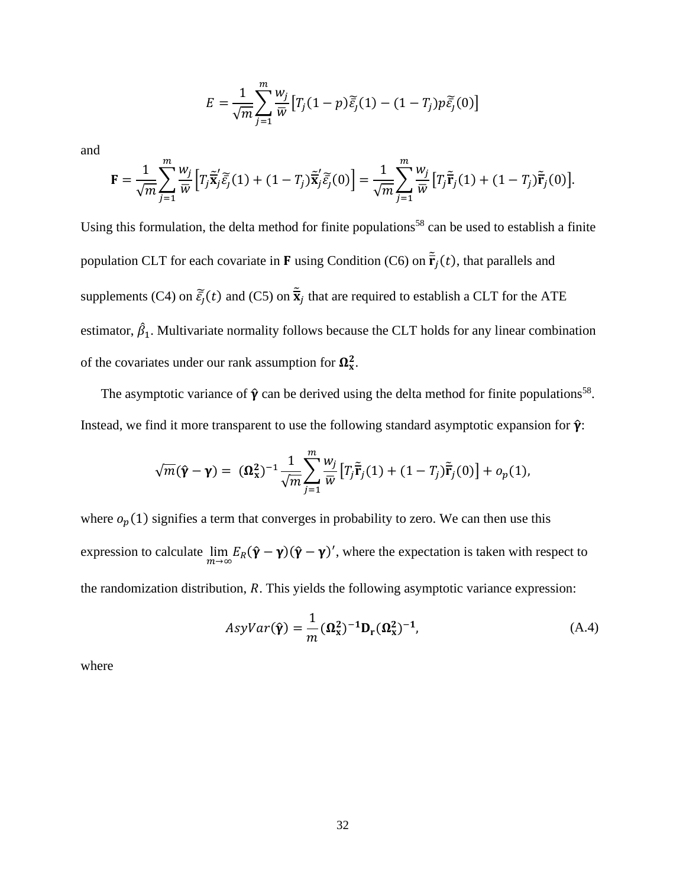$$
E = \frac{1}{\sqrt{m}} \sum_{j=1}^{m} \frac{w_j}{\overline{w}} \left[ T_j (1-p) \widetilde{\tilde{\varepsilon}_j} (1) - (1-T_j) p \widetilde{\tilde{\varepsilon}_j} (0) \right]
$$

and

$$
\mathbf{F} = \frac{1}{\sqrt{m}} \sum_{j=1}^{m} \frac{w_j}{\overline{w}} \Big[ T_j \tilde{\overline{\mathbf{x}}}'_j \tilde{\varepsilon}_j(1) + (1 - T_j) \tilde{\overline{\mathbf{x}}}'_j \tilde{\varepsilon}_j(0) \Big] = \frac{1}{\sqrt{m}} \sum_{j=1}^{m} \frac{w_j}{\overline{w}} \Big[ T_j \tilde{\overline{\mathbf{r}}}_j(1) + (1 - T_j) \tilde{\overline{\mathbf{r}}}_j(0) \Big].
$$

Using this formulation, the delta method for finite populations<sup>58</sup> can be used to establish a finite population CLT for each covariate in **F** using Condition (C6) on  $\tilde{\mathbf{r}}_j(t)$ , that parallels and supplements (C4) on  $\tilde{\bar{\epsilon}}_j(t)$  and (C5) on  $\tilde{\bar{\mathbf{x}}}_j$  that are required to establish a CLT for the ATE estimator,  $\hat{\beta}_1$ . Multivariate normality follows because the CLT holds for any linear combination of the covariates under our rank assumption for  $\Omega_x^2$ .

The asymptotic variance of  $\hat{\gamma}$  can be derived using the delta method for finite populations<sup>58</sup>. Instead, we find it more transparent to use the following standard asymptotic expansion for  $\hat{\mathbf{y}}$ :

$$
\sqrt{m}(\hat{\mathbf{\gamma}} - \mathbf{\gamma}) = (\mathbf{\Omega}_{\mathbf{x}}^2)^{-1} \frac{1}{\sqrt{m}} \sum_{j=1}^m \frac{w_j}{\overline{w}} \left[ T_j \tilde{\mathbf{r}}_j(1) + (1 - T_j) \tilde{\mathbf{r}}_j(0) \right] + o_p(1),
$$

where  $o_p(1)$  signifies a term that converges in probability to zero. We can then use this expression to calculate  $\lim_{m\to\infty} E_R(\hat{\mathbf{Y}} - \mathbf{Y})(\hat{\mathbf{Y}} - \mathbf{Y})'$ , where the expectation is taken with respect to the randomization distribution,  $R$ . This yields the following asymptotic variance expression:

$$
AsyVar(\hat{\mathbf{y}}) = \frac{1}{m} (\Omega_{\mathbf{x}}^2)^{-1} \mathbf{D}_{\mathbf{r}} (\Omega_{\mathbf{x}}^2)^{-1},
$$
\n(A.4)

where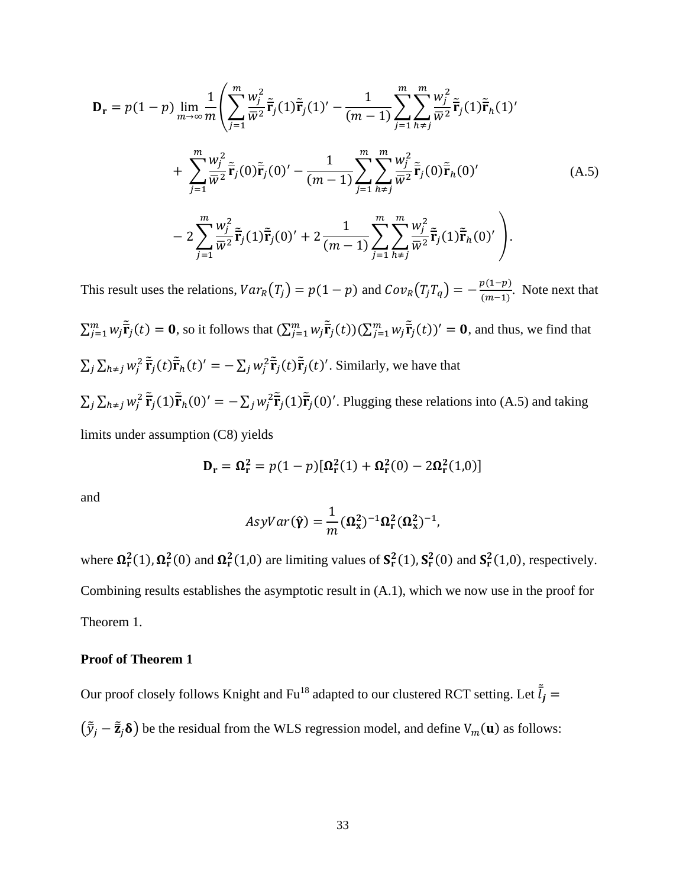$$
\mathbf{D}_{\mathbf{r}} = p(1-p) \lim_{m \to \infty} \frac{1}{m} \left( \sum_{j=1}^{m} \frac{w_{j}^{2}}{\bar{w}^{2}} \tilde{\mathbf{r}}_{j}(1) \tilde{\mathbf{r}}_{j}(1)' - \frac{1}{(m-1)} \sum_{j=1}^{m} \sum_{h \neq j}^{m} \frac{w_{j}^{2}}{\bar{w}^{2}} \tilde{\mathbf{r}}_{j}(1) \tilde{\mathbf{r}}_{h}(1)' + \sum_{j=1}^{m} \frac{w_{j}^{2}}{\bar{w}^{2}} \tilde{\mathbf{r}}_{j}(0) \tilde{\mathbf{r}}_{j}(0)' - \frac{1}{(m-1)} \sum_{j=1}^{m} \sum_{h \neq j}^{m} \frac{w_{j}^{2}}{\bar{w}^{2}} \tilde{\mathbf{r}}_{j}(0) \tilde{\mathbf{r}}_{h}(0)' - 2 \sum_{j=1}^{m} \frac{w_{j}^{2}}{\bar{w}^{2}} \tilde{\mathbf{r}}_{j}(1) \tilde{\mathbf{r}}_{j}(0)' + 2 \frac{1}{(m-1)} \sum_{j=1}^{m} \sum_{h \neq j}^{m} \frac{w_{j}^{2}}{\bar{w}^{2}} \tilde{\mathbf{r}}_{j}(1) \tilde{\mathbf{r}}_{h}(0)' \right).
$$
\n(A.5)

This result uses the relations,  $Var_R(T_j) = p(1 - p)$  and  $Cov_R(T_j T_q) = -\frac{p(1-p)}{(m-1)}$  $\frac{p(1-p)}{(m-1)}$ . Note next that  $\sum_{j=1}^m w_j \tilde{\overline{\mathbf{r}}}_j(t) = \mathbf{0}$ , so it follows that  $(\sum_{j=1}^m w_j \tilde{\overline{\mathbf{r}}}_j(t)) (\sum_{j=1}^m w_j \tilde{\overline{\mathbf{r}}}_j(t))' = \mathbf{0}$ , and thus, we find that  $\sum_j \sum_{k \neq j} w_j^2 \tilde{\vec{r}}_j(t) \tilde{\vec{r}}_h(t)' = -\sum_j w_j^2 \tilde{\vec{r}}_j(t) \tilde{\vec{r}}_j(t)'$ . Similarly, we have that  $\sum_j \sum_{k \neq j} w_j^2 \tilde{\vec{r}}_j(1) \tilde{\vec{r}}_h(0)' = -\sum_j w_j^2 \tilde{\vec{r}}_j(1) \tilde{\vec{r}}_j(0)'$ . Plugging these relations into (A.5) and taking limits under assumption (C8) yields

$$
\mathbf{D}_{\mathbf{r}} = \mathbf{\Omega}_{\mathbf{r}}^2 = p(1-p)[\mathbf{\Omega}_{\mathbf{r}}^2(1) + \mathbf{\Omega}_{\mathbf{r}}^2(0) - 2\mathbf{\Omega}_{\mathbf{r}}^2(1,0)]
$$

and

$$
AsyVar(\hat{\gamma}) = \frac{1}{m} (\Omega_{\rm x}^2)^{-1} \Omega_{\rm r}^2 (\Omega_{\rm x}^2)^{-1},
$$

where  $\Omega_r^2(1)$ ,  $\Omega_r^2(0)$  and  $\Omega_r^2(1,0)$  are limiting values of  $S_r^2(1)$ ,  $S_r^2(0)$  and  $S_r^2(1,0)$ , respectively. Combining results establishes the asymptotic result in (A.1), which we now use in the proof for Theorem 1.

## **Proof of Theorem 1**

Our proof closely follows Knight and Fu<sup>18</sup> adapted to our clustered RCT setting. Let  $\tilde{l}_j$  =  $(\tilde{\bar{y}}_j - \tilde{\bar{z}}_j \delta)$  be the residual from the WLS regression model, and define  $V_m(\mathbf{u})$  as follows: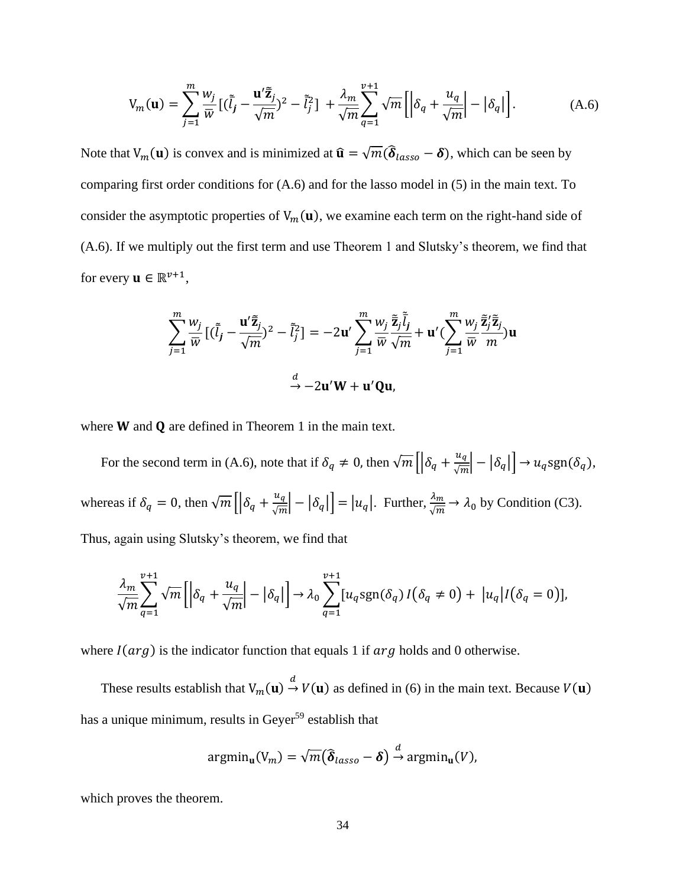$$
V_m(\mathbf{u}) = \sum_{j=1}^m \frac{w_j}{\overline{w}} \left[ (\overline{\tilde{l}}_j - \frac{\mathbf{u}' \overline{\tilde{\mathbf{z}}}_j}{\sqrt{m}})^2 - \overline{\tilde{l}}_j^2 \right] + \frac{\lambda_m}{\sqrt{m}} \sum_{q=1}^{v+1} \sqrt{m} \left[ \left| \delta_q + \frac{u_q}{\sqrt{m}} \right| - \left| \delta_q \right| \right]. \tag{A.6}
$$

Note that  $V_m(\mathbf{u})$  is convex and is minimized at  $\hat{\mathbf{u}} = \sqrt{m}(\hat{\delta}_{lasso} - \delta)$ , which can be seen by comparing first order conditions for (A.6) and for the lasso model in (5) in the main text. To consider the asymptotic properties of  $V_m(u)$ , we examine each term on the right-hand side of (A.6). If we multiply out the first term and use Theorem 1 and Slutsky's theorem, we find that for every  $\mathbf{u} \in \mathbb{R}^{v+1}$ ,

$$
\sum_{j=1}^{m} \frac{w_j}{\overline{w}} \left[ (\overline{\tilde{l}}_j - \frac{\mathbf{u}' \overline{\tilde{\mathbf{z}}}_j}{\sqrt{m}})^2 - \overline{\tilde{l}}_j^2 \right] = -2\mathbf{u}' \sum_{j=1}^{m} \frac{w_j}{\overline{w}} \frac{\overline{\tilde{\mathbf{z}}}_j \overline{\tilde{l}}_j}{\sqrt{m}} + \mathbf{u}' (\sum_{j=1}^{m} \frac{w_j}{\overline{w}} \frac{\overline{\tilde{\mathbf{z}}}_j \overline{\tilde{\mathbf{z}}}_j}{m}) \mathbf{u}
$$

$$
\xrightarrow{d} -2\mathbf{u}' \mathbf{W} + \mathbf{u}' \mathbf{Q} \mathbf{u},
$$

where  $W$  and  $Q$  are defined in Theorem 1 in the main text.

For the second term in (A.6), note that if  $\delta_q \neq 0$ , then  $\sqrt{m} \left[ \left| \delta_q + \frac{u_q}{\sqrt{m}} \right| \right]$  $\left| \frac{u_q}{\sqrt{m}} \right| - \left| \delta_q \right| \right| \rightarrow u_q \text{sgn}(\delta_q),$ whereas if  $\delta_q = 0$ , then  $\sqrt{m} \left[ \left| \delta_q + \frac{u_q}{\sqrt{m}} \right| \right]$  $\frac{u_q}{\sqrt{m}}$  –  $|\delta_q|$  =  $|u_q|$ . Further,  $\frac{\lambda_m}{\sqrt{m}} \to \lambda_0$  by Condition (C3). Thus, again using Slutsky's theorem, we find that

$$
\frac{\lambda_m}{\sqrt{m}} \sum_{q=1}^{\nu+1} \sqrt{m} \left[ \left| \delta_q + \frac{u_q}{\sqrt{m}} \right| - \left| \delta_q \right| \right] \to \lambda_0 \sum_{q=1}^{\nu+1} [u_q \operatorname{sgn}(\delta_q) I(\delta_q \neq 0) + |u_q| I(\delta_q = 0)],
$$

where  $I(arg)$  is the indicator function that equals 1 if  $arg$  holds and 0 otherwise.

These results establish that  $V_m(u) \stackrel{d}{\rightarrow} V(u)$  as defined in (6) in the main text. Because  $V(u)$ has a unique minimum, results in Geyer<sup>59</sup> establish that

$$
\operatorname{argmin}_{\mathbf{u}}(V_m) = \sqrt{m} \big( \widehat{\boldsymbol{\delta}}_{lasso} - \boldsymbol{\delta} \big) \stackrel{d}{\rightarrow} \operatorname{argmin}_{\mathbf{u}}(V),
$$

which proves the theorem.